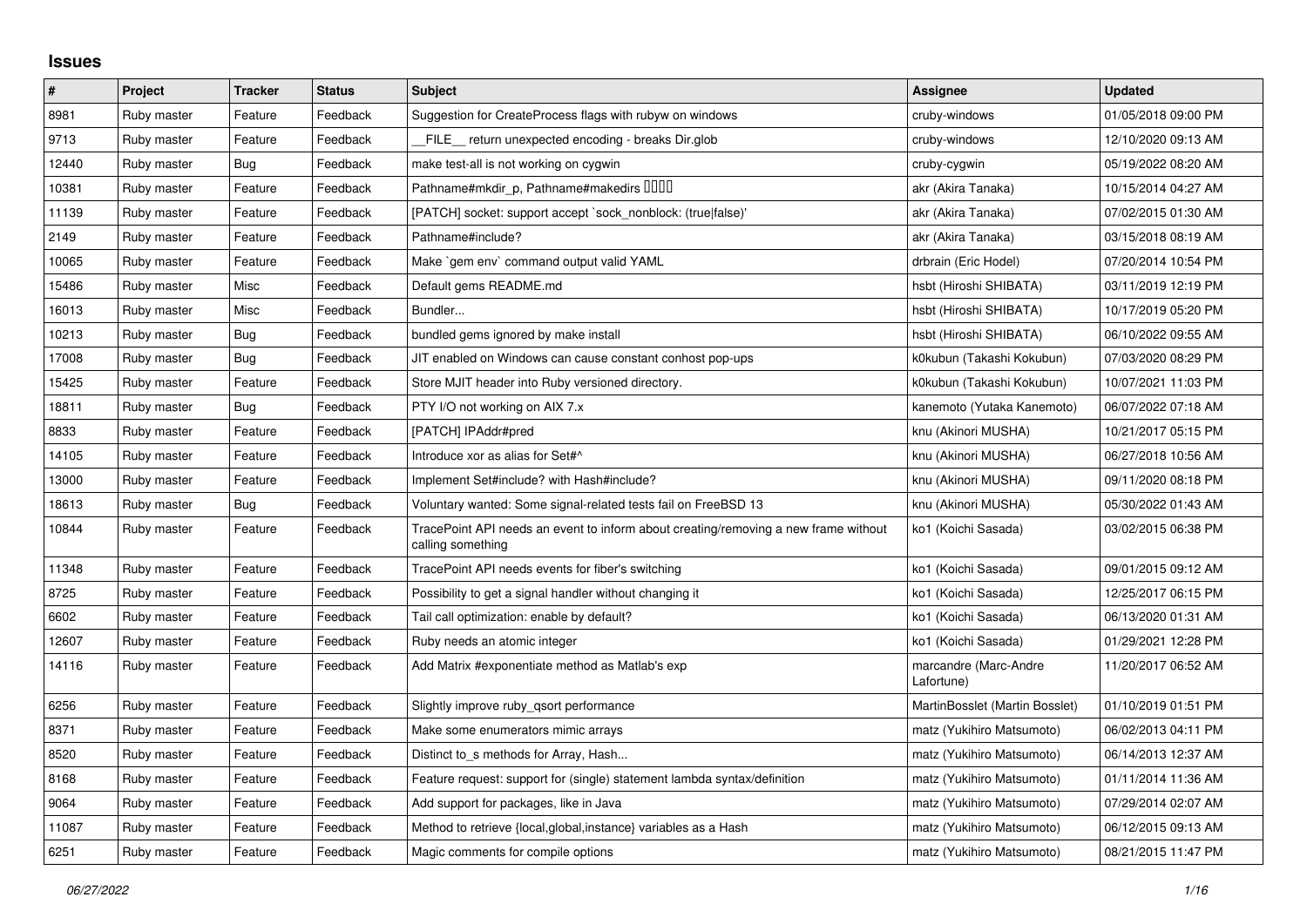## **Issues**

| $\vert$ # | Project     | <b>Tracker</b> | <b>Status</b> | <b>Subject</b>                                                                                           | Assignee                            | <b>Updated</b>      |
|-----------|-------------|----------------|---------------|----------------------------------------------------------------------------------------------------------|-------------------------------------|---------------------|
| 8981      | Ruby master | Feature        | Feedback      | Suggestion for CreateProcess flags with rubyw on windows                                                 | cruby-windows                       | 01/05/2018 09:00 PM |
| 9713      | Ruby master | Feature        | Feedback      | FILE return unexpected encoding - breaks Dir.glob                                                        | cruby-windows                       | 12/10/2020 09:13 AM |
| 12440     | Ruby master | Bug            | Feedback      | make test-all is not working on cygwin                                                                   | cruby-cygwin                        | 05/19/2022 08:20 AM |
| 10381     | Ruby master | Feature        | Feedback      | Pathname#mkdir_p, Pathname#makedirs DDDD                                                                 | akr (Akira Tanaka)                  | 10/15/2014 04:27 AM |
| 11139     | Ruby master | Feature        | Feedback      | [PATCH] socket: support accept `sock_nonblock: (true false)'                                             | akr (Akira Tanaka)                  | 07/02/2015 01:30 AM |
| 2149      | Ruby master | Feature        | Feedback      | Pathname#include?                                                                                        | akr (Akira Tanaka)                  | 03/15/2018 08:19 AM |
| 10065     | Ruby master | Feature        | Feedback      | Make `gem env` command output valid YAML                                                                 | drbrain (Eric Hodel)                | 07/20/2014 10:54 PM |
| 15486     | Ruby master | Misc           | Feedback      | Default gems README.md                                                                                   | hsbt (Hiroshi SHIBATA)              | 03/11/2019 12:19 PM |
| 16013     | Ruby master | Misc           | Feedback      | Bundler                                                                                                  | hsbt (Hiroshi SHIBATA)              | 10/17/2019 05:20 PM |
| 10213     | Ruby master | <b>Bug</b>     | Feedback      | bundled gems ignored by make install                                                                     | hsbt (Hiroshi SHIBATA)              | 06/10/2022 09:55 AM |
| 17008     | Ruby master | <b>Bug</b>     | Feedback      | JIT enabled on Windows can cause constant conhost pop-ups                                                | k0kubun (Takashi Kokubun)           | 07/03/2020 08:29 PM |
| 15425     | Ruby master | Feature        | Feedback      | Store MJIT header into Ruby versioned directory.                                                         | k0kubun (Takashi Kokubun)           | 10/07/2021 11:03 PM |
| 18811     | Ruby master | <b>Bug</b>     | Feedback      | PTY I/O not working on AIX 7.x                                                                           | kanemoto (Yutaka Kanemoto)          | 06/07/2022 07:18 AM |
| 8833      | Ruby master | Feature        | Feedback      | [PATCH] IPAddr#pred                                                                                      | knu (Akinori MUSHA)                 | 10/21/2017 05:15 PM |
| 14105     | Ruby master | Feature        | Feedback      | Introduce xor as alias for Set#^                                                                         | knu (Akinori MUSHA)                 | 06/27/2018 10:56 AM |
| 13000     | Ruby master | Feature        | Feedback      | Implement Set#include? with Hash#include?                                                                | knu (Akinori MUSHA)                 | 09/11/2020 08:18 PM |
| 18613     | Ruby master | Bug            | Feedback      | Voluntary wanted: Some signal-related tests fail on FreeBSD 13                                           | knu (Akinori MUSHA)                 | 05/30/2022 01:43 AM |
| 10844     | Ruby master | Feature        | Feedback      | TracePoint API needs an event to inform about creating/removing a new frame without<br>calling something | ko1 (Koichi Sasada)                 | 03/02/2015 06:38 PM |
| 11348     | Ruby master | Feature        | Feedback      | TracePoint API needs events for fiber's switching                                                        | ko1 (Koichi Sasada)                 | 09/01/2015 09:12 AM |
| 8725      | Ruby master | Feature        | Feedback      | Possibility to get a signal handler without changing it                                                  | ko1 (Koichi Sasada)                 | 12/25/2017 06:15 PM |
| 6602      | Ruby master | Feature        | Feedback      | Tail call optimization: enable by default?                                                               | ko1 (Koichi Sasada)                 | 06/13/2020 01:31 AM |
| 12607     | Ruby master | Feature        | Feedback      | Ruby needs an atomic integer                                                                             | ko1 (Koichi Sasada)                 | 01/29/2021 12:28 PM |
| 14116     | Ruby master | Feature        | Feedback      | Add Matrix #exponentiate method as Matlab's exp                                                          | marcandre (Marc-Andre<br>Lafortune) | 11/20/2017 06:52 AM |
| 6256      | Ruby master | Feature        | Feedback      | Slightly improve ruby_qsort performance                                                                  | MartinBosslet (Martin Bosslet)      | 01/10/2019 01:51 PM |
| 8371      | Ruby master | Feature        | Feedback      | Make some enumerators mimic arrays                                                                       | matz (Yukihiro Matsumoto)           | 06/02/2013 04:11 PM |
| 8520      | Ruby master | Feature        | Feedback      | Distinct to s methods for Array, Hash                                                                    | matz (Yukihiro Matsumoto)           | 06/14/2013 12:37 AM |
| 8168      | Ruby master | Feature        | Feedback      | Feature request: support for (single) statement lambda syntax/definition                                 | matz (Yukihiro Matsumoto)           | 01/11/2014 11:36 AM |
| 9064      | Ruby master | Feature        | Feedback      | Add support for packages, like in Java                                                                   | matz (Yukihiro Matsumoto)           | 07/29/2014 02:07 AM |
| 11087     | Ruby master | Feature        | Feedback      | Method to retrieve {local, global, instance} variables as a Hash                                         | matz (Yukihiro Matsumoto)           | 06/12/2015 09:13 AM |
| 6251      | Ruby master | Feature        | Feedback      | Magic comments for compile options                                                                       | matz (Yukihiro Matsumoto)           | 08/21/2015 11:47 PM |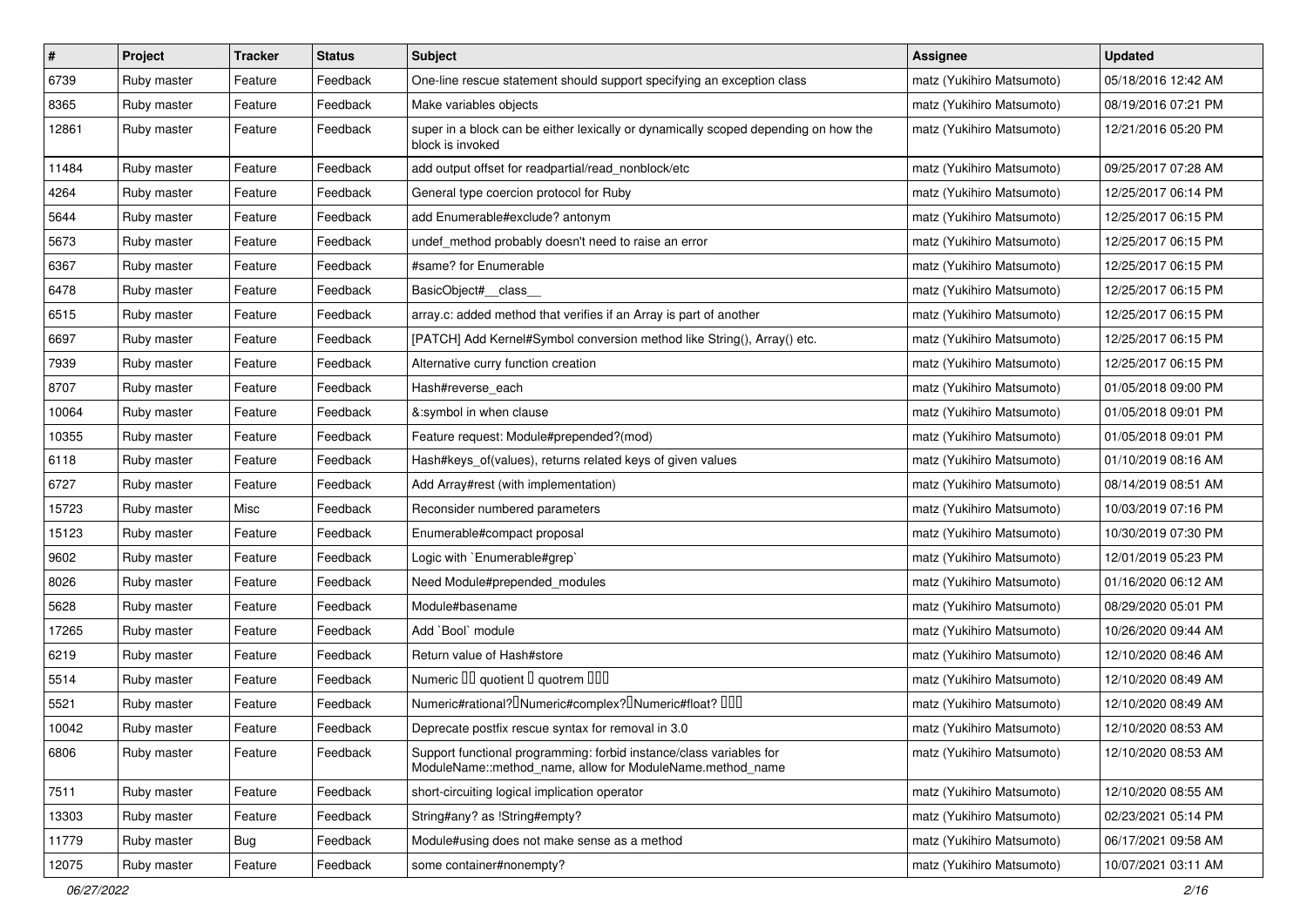| $\vert$ # | Project     | <b>Tracker</b> | <b>Status</b> | <b>Subject</b>                                                                                                                   | <b>Assignee</b>           | <b>Updated</b>      |
|-----------|-------------|----------------|---------------|----------------------------------------------------------------------------------------------------------------------------------|---------------------------|---------------------|
| 6739      | Ruby master | Feature        | Feedback      | One-line rescue statement should support specifying an exception class                                                           | matz (Yukihiro Matsumoto) | 05/18/2016 12:42 AM |
| 8365      | Ruby master | Feature        | Feedback      | Make variables objects                                                                                                           | matz (Yukihiro Matsumoto) | 08/19/2016 07:21 PM |
| 12861     | Ruby master | Feature        | Feedback      | super in a block can be either lexically or dynamically scoped depending on how the<br>block is invoked                          | matz (Yukihiro Matsumoto) | 12/21/2016 05:20 PM |
| 11484     | Ruby master | Feature        | Feedback      | add output offset for readpartial/read_nonblock/etc                                                                              | matz (Yukihiro Matsumoto) | 09/25/2017 07:28 AM |
| 4264      | Ruby master | Feature        | Feedback      | General type coercion protocol for Ruby                                                                                          | matz (Yukihiro Matsumoto) | 12/25/2017 06:14 PM |
| 5644      | Ruby master | Feature        | Feedback      | add Enumerable#exclude? antonym                                                                                                  | matz (Yukihiro Matsumoto) | 12/25/2017 06:15 PM |
| 5673      | Ruby master | Feature        | Feedback      | undef_method probably doesn't need to raise an error                                                                             | matz (Yukihiro Matsumoto) | 12/25/2017 06:15 PM |
| 6367      | Ruby master | Feature        | Feedback      | #same? for Enumerable                                                                                                            | matz (Yukihiro Matsumoto) | 12/25/2017 06:15 PM |
| 6478      | Ruby master | Feature        | Feedback      | BasicObject#_class_                                                                                                              | matz (Yukihiro Matsumoto) | 12/25/2017 06:15 PM |
| 6515      | Ruby master | Feature        | Feedback      | array.c: added method that verifies if an Array is part of another                                                               | matz (Yukihiro Matsumoto) | 12/25/2017 06:15 PM |
| 6697      | Ruby master | Feature        | Feedback      | [PATCH] Add Kernel#Symbol conversion method like String(), Array() etc.                                                          | matz (Yukihiro Matsumoto) | 12/25/2017 06:15 PM |
| 7939      | Ruby master | Feature        | Feedback      | Alternative curry function creation                                                                                              | matz (Yukihiro Matsumoto) | 12/25/2017 06:15 PM |
| 8707      | Ruby master | Feature        | Feedback      | Hash#reverse_each                                                                                                                | matz (Yukihiro Matsumoto) | 01/05/2018 09:00 PM |
| 10064     | Ruby master | Feature        | Feedback      | &:symbol in when clause                                                                                                          | matz (Yukihiro Matsumoto) | 01/05/2018 09:01 PM |
| 10355     | Ruby master | Feature        | Feedback      | Feature request: Module#prepended?(mod)                                                                                          | matz (Yukihiro Matsumoto) | 01/05/2018 09:01 PM |
| 6118      | Ruby master | Feature        | Feedback      | Hash#keys_of(values), returns related keys of given values                                                                       | matz (Yukihiro Matsumoto) | 01/10/2019 08:16 AM |
| 6727      | Ruby master | Feature        | Feedback      | Add Array#rest (with implementation)                                                                                             | matz (Yukihiro Matsumoto) | 08/14/2019 08:51 AM |
| 15723     | Ruby master | Misc           | Feedback      | Reconsider numbered parameters                                                                                                   | matz (Yukihiro Matsumoto) | 10/03/2019 07:16 PM |
| 15123     | Ruby master | Feature        | Feedback      | Enumerable#compact proposal                                                                                                      | matz (Yukihiro Matsumoto) | 10/30/2019 07:30 PM |
| 9602      | Ruby master | Feature        | Feedback      | Logic with `Enumerable#grep`                                                                                                     | matz (Yukihiro Matsumoto) | 12/01/2019 05:23 PM |
| 8026      | Ruby master | Feature        | Feedback      | Need Module#prepended_modules                                                                                                    | matz (Yukihiro Matsumoto) | 01/16/2020 06:12 AM |
| 5628      | Ruby master | Feature        | Feedback      | Module#basename                                                                                                                  | matz (Yukihiro Matsumoto) | 08/29/2020 05:01 PM |
| 17265     | Ruby master | Feature        | Feedback      | Add `Bool` module                                                                                                                | matz (Yukihiro Matsumoto) | 10/26/2020 09:44 AM |
| 6219      | Ruby master | Feature        | Feedback      | Return value of Hash#store                                                                                                       | matz (Yukihiro Matsumoto) | 12/10/2020 08:46 AM |
| 5514      | Ruby master | Feature        | Feedback      | Numeric III quotient I quotrem IIII                                                                                              | matz (Yukihiro Matsumoto) | 12/10/2020 08:49 AM |
| 5521      | Ruby master | Feature        | Feedback      | Numeric#rational? <sup>[]</sup> Numeric#complex? <sup>[]</sup> Numeric#float? <sup>[10]</sup>                                    | matz (Yukihiro Matsumoto) | 12/10/2020 08:49 AM |
| 10042     | Ruby master | Feature        | Feedback      | Deprecate postfix rescue syntax for removal in 3.0                                                                               | matz (Yukihiro Matsumoto) | 12/10/2020 08:53 AM |
| 6806      | Ruby master | Feature        | Feedback      | Support functional programming: forbid instance/class variables for<br>ModuleName::method_name, allow for ModuleName.method_name | matz (Yukihiro Matsumoto) | 12/10/2020 08:53 AM |
| 7511      | Ruby master | Feature        | Feedback      | short-circuiting logical implication operator                                                                                    | matz (Yukihiro Matsumoto) | 12/10/2020 08:55 AM |
| 13303     | Ruby master | Feature        | Feedback      | String#any? as !String#empty?                                                                                                    | matz (Yukihiro Matsumoto) | 02/23/2021 05:14 PM |
| 11779     | Ruby master | Bug            | Feedback      | Module#using does not make sense as a method                                                                                     | matz (Yukihiro Matsumoto) | 06/17/2021 09:58 AM |
| 12075     | Ruby master | Feature        | Feedback      | some container#nonempty?                                                                                                         | matz (Yukihiro Matsumoto) | 10/07/2021 03:11 AM |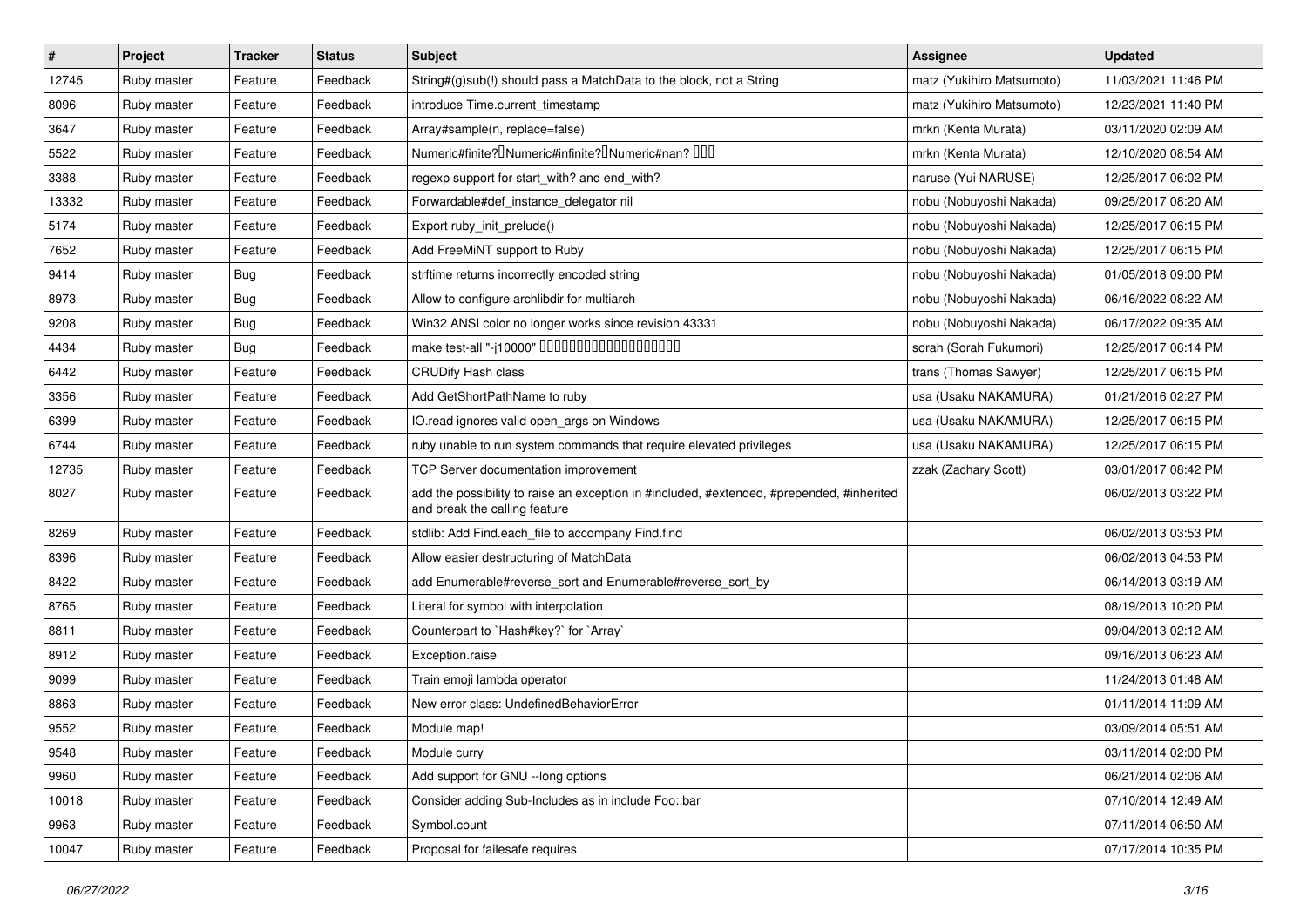| $\vert$ # | Project     | <b>Tracker</b> | <b>Status</b> | <b>Subject</b>                                                                                                             | <b>Assignee</b>           | <b>Updated</b>      |
|-----------|-------------|----------------|---------------|----------------------------------------------------------------------------------------------------------------------------|---------------------------|---------------------|
| 12745     | Ruby master | Feature        | Feedback      | String#(g)sub(!) should pass a MatchData to the block, not a String                                                        | matz (Yukihiro Matsumoto) | 11/03/2021 11:46 PM |
| 8096      | Ruby master | Feature        | Feedback      | introduce Time.current timestamp                                                                                           | matz (Yukihiro Matsumoto) | 12/23/2021 11:40 PM |
| 3647      | Ruby master | Feature        | Feedback      | Array#sample(n, replace=false)                                                                                             | mrkn (Kenta Murata)       | 03/11/2020 02:09 AM |
| 5522      | Ruby master | Feature        | Feedback      | Numeric#finite? INumeric#infinite? INumeric#nan? IIII                                                                      | mrkn (Kenta Murata)       | 12/10/2020 08:54 AM |
| 3388      | Ruby master | Feature        | Feedback      | regexp support for start_with? and end_with?                                                                               | naruse (Yui NARUSE)       | 12/25/2017 06:02 PM |
| 13332     | Ruby master | Feature        | Feedback      | Forwardable#def_instance_delegator nil                                                                                     | nobu (Nobuyoshi Nakada)   | 09/25/2017 08:20 AM |
| 5174      | Ruby master | Feature        | Feedback      | Export ruby_init_prelude()                                                                                                 | nobu (Nobuyoshi Nakada)   | 12/25/2017 06:15 PM |
| 7652      | Ruby master | Feature        | Feedback      | Add FreeMiNT support to Ruby                                                                                               | nobu (Nobuyoshi Nakada)   | 12/25/2017 06:15 PM |
| 9414      | Ruby master | <b>Bug</b>     | Feedback      | strftime returns incorrectly encoded string                                                                                | nobu (Nobuyoshi Nakada)   | 01/05/2018 09:00 PM |
| 8973      | Ruby master | <b>Bug</b>     | Feedback      | Allow to configure archlibdir for multiarch                                                                                | nobu (Nobuyoshi Nakada)   | 06/16/2022 08:22 AM |
| 9208      | Ruby master | <b>Bug</b>     | Feedback      | Win32 ANSI color no longer works since revision 43331                                                                      | nobu (Nobuyoshi Nakada)   | 06/17/2022 09:35 AM |
| 4434      | Ruby master | Bug            | Feedback      | make test-all "-j10000" 0000000000000000000                                                                                | sorah (Sorah Fukumori)    | 12/25/2017 06:14 PM |
| 6442      | Ruby master | Feature        | Feedback      | <b>CRUDify Hash class</b>                                                                                                  | trans (Thomas Sawyer)     | 12/25/2017 06:15 PM |
| 3356      | Ruby master | Feature        | Feedback      | Add GetShortPathName to ruby                                                                                               | usa (Usaku NAKAMURA)      | 01/21/2016 02:27 PM |
| 6399      | Ruby master | Feature        | Feedback      | IO.read ignores valid open_args on Windows                                                                                 | usa (Usaku NAKAMURA)      | 12/25/2017 06:15 PM |
| 6744      | Ruby master | Feature        | Feedback      | ruby unable to run system commands that require elevated privileges                                                        | usa (Usaku NAKAMURA)      | 12/25/2017 06:15 PM |
| 12735     | Ruby master | Feature        | Feedback      | TCP Server documentation improvement                                                                                       | zzak (Zachary Scott)      | 03/01/2017 08:42 PM |
| 8027      | Ruby master | Feature        | Feedback      | add the possibility to raise an exception in #included, #extended, #prepended, #inherited<br>and break the calling feature |                           | 06/02/2013 03:22 PM |
| 8269      | Ruby master | Feature        | Feedback      | stdlib: Add Find.each_file to accompany Find.find                                                                          |                           | 06/02/2013 03:53 PM |
| 8396      | Ruby master | Feature        | Feedback      | Allow easier destructuring of MatchData                                                                                    |                           | 06/02/2013 04:53 PM |
| 8422      | Ruby master | Feature        | Feedback      | add Enumerable#reverse_sort and Enumerable#reverse_sort_by                                                                 |                           | 06/14/2013 03:19 AM |
| 8765      | Ruby master | Feature        | Feedback      | Literal for symbol with interpolation                                                                                      |                           | 08/19/2013 10:20 PM |
| 8811      | Ruby master | Feature        | Feedback      | Counterpart to `Hash#key?` for `Array`                                                                                     |                           | 09/04/2013 02:12 AM |
| 8912      | Ruby master | Feature        | Feedback      | Exception.raise                                                                                                            |                           | 09/16/2013 06:23 AM |
| 9099      | Ruby master | Feature        | Feedback      | Train emoji lambda operator                                                                                                |                           | 11/24/2013 01:48 AM |
| 8863      | Ruby master | Feature        | Feedback      | New error class: UndefinedBehaviorError                                                                                    |                           | 01/11/2014 11:09 AM |
| 9552      | Ruby master | Feature        | Feedback      | Module map!                                                                                                                |                           | 03/09/2014 05:51 AM |
| 9548      | Ruby master | Feature        | Feedback      | Module curry                                                                                                               |                           | 03/11/2014 02:00 PM |
| 9960      | Ruby master | Feature        | Feedback      | Add support for GNU --long options                                                                                         |                           | 06/21/2014 02:06 AM |
| 10018     | Ruby master | Feature        | Feedback      | Consider adding Sub-Includes as in include Foo::bar                                                                        |                           | 07/10/2014 12:49 AM |
| 9963      | Ruby master | Feature        | Feedback      | Symbol.count                                                                                                               |                           | 07/11/2014 06:50 AM |
| 10047     | Ruby master | Feature        | Feedback      | Proposal for failesafe requires                                                                                            |                           | 07/17/2014 10:35 PM |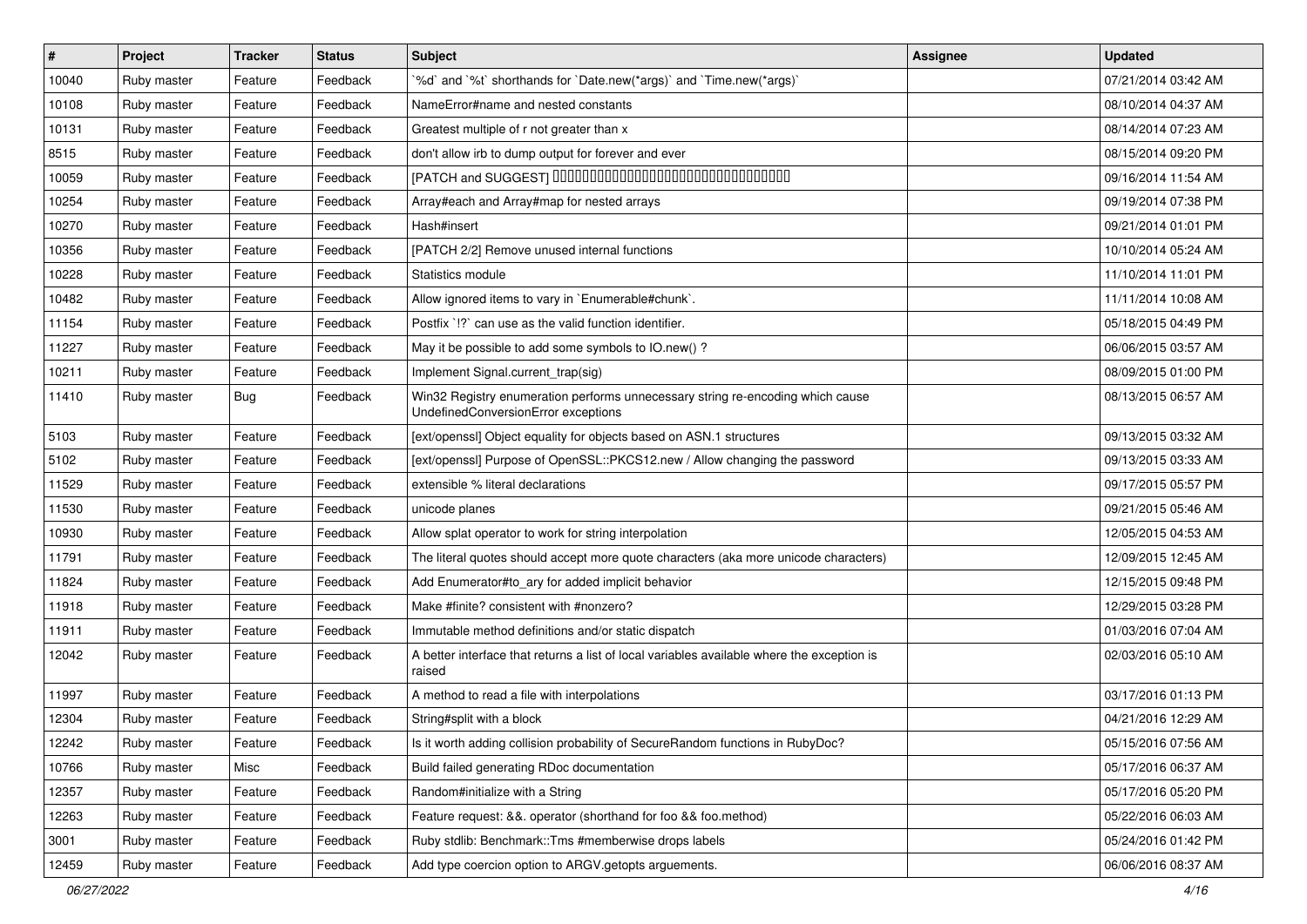| $\vert$ # | Project     | <b>Tracker</b> | <b>Status</b> | Subject                                                                                                               | <b>Assignee</b> | <b>Updated</b>      |
|-----------|-------------|----------------|---------------|-----------------------------------------------------------------------------------------------------------------------|-----------------|---------------------|
| 10040     | Ruby master | Feature        | Feedback      | '%d' and '%t' shorthands for 'Date.new(*args)' and 'Time.new(*args)'                                                  |                 | 07/21/2014 03:42 AM |
| 10108     | Ruby master | Feature        | Feedback      | NameError#name and nested constants                                                                                   |                 | 08/10/2014 04:37 AM |
| 10131     | Ruby master | Feature        | Feedback      | Greatest multiple of r not greater than x                                                                             |                 | 08/14/2014 07:23 AM |
| 8515      | Ruby master | Feature        | Feedback      | don't allow irb to dump output for forever and ever                                                                   |                 | 08/15/2014 09:20 PM |
| 10059     | Ruby master | Feature        | Feedback      | [PATCH and SUGGEST] 0000000000000000000000000000000                                                                   |                 | 09/16/2014 11:54 AM |
| 10254     | Ruby master | Feature        | Feedback      | Array#each and Array#map for nested arrays                                                                            |                 | 09/19/2014 07:38 PM |
| 10270     | Ruby master | Feature        | Feedback      | Hash#insert                                                                                                           |                 | 09/21/2014 01:01 PM |
| 10356     | Ruby master | Feature        | Feedback      | [PATCH 2/2] Remove unused internal functions                                                                          |                 | 10/10/2014 05:24 AM |
| 10228     | Ruby master | Feature        | Feedback      | Statistics module                                                                                                     |                 | 11/10/2014 11:01 PM |
| 10482     | Ruby master | Feature        | Feedback      | Allow ignored items to vary in `Enumerable#chunk`.                                                                    |                 | 11/11/2014 10:08 AM |
| 11154     | Ruby master | Feature        | Feedback      | Postfix '!?' can use as the valid function identifier.                                                                |                 | 05/18/2015 04:49 PM |
| 11227     | Ruby master | Feature        | Feedback      | May it be possible to add some symbols to IO.new() ?                                                                  |                 | 06/06/2015 03:57 AM |
| 10211     | Ruby master | Feature        | Feedback      | Implement Signal.current_trap(sig)                                                                                    |                 | 08/09/2015 01:00 PM |
| 11410     | Ruby master | <b>Bug</b>     | Feedback      | Win32 Registry enumeration performs unnecessary string re-encoding which cause<br>UndefinedConversionError exceptions |                 | 08/13/2015 06:57 AM |
| 5103      | Ruby master | Feature        | Feedback      | [ext/openssl] Object equality for objects based on ASN.1 structures                                                   |                 | 09/13/2015 03:32 AM |
| 5102      | Ruby master | Feature        | Feedback      | [ext/openssl] Purpose of OpenSSL::PKCS12.new / Allow changing the password                                            |                 | 09/13/2015 03:33 AM |
| 11529     | Ruby master | Feature        | Feedback      | extensible % literal declarations                                                                                     |                 | 09/17/2015 05:57 PM |
| 11530     | Ruby master | Feature        | Feedback      | unicode planes                                                                                                        |                 | 09/21/2015 05:46 AM |
| 10930     | Ruby master | Feature        | Feedback      | Allow splat operator to work for string interpolation                                                                 |                 | 12/05/2015 04:53 AM |
| 11791     | Ruby master | Feature        | Feedback      | The literal quotes should accept more quote characters (aka more unicode characters)                                  |                 | 12/09/2015 12:45 AM |
| 11824     | Ruby master | Feature        | Feedback      | Add Enumerator#to_ary for added implicit behavior                                                                     |                 | 12/15/2015 09:48 PM |
| 11918     | Ruby master | Feature        | Feedback      | Make #finite? consistent with #nonzero?                                                                               |                 | 12/29/2015 03:28 PM |
| 11911     | Ruby master | Feature        | Feedback      | Immutable method definitions and/or static dispatch                                                                   |                 | 01/03/2016 07:04 AM |
| 12042     | Ruby master | Feature        | Feedback      | A better interface that returns a list of local variables available where the exception is<br>raised                  |                 | 02/03/2016 05:10 AM |
| 11997     | Ruby master | Feature        | Feedback      | A method to read a file with interpolations                                                                           |                 | 03/17/2016 01:13 PM |
| 12304     | Ruby master | Feature        | Feedback      | String#split with a block                                                                                             |                 | 04/21/2016 12:29 AM |
| 12242     | Ruby master | Feature        | Feedback      | Is it worth adding collision probability of SecureRandom functions in RubyDoc?                                        |                 | 05/15/2016 07:56 AM |
| 10766     | Ruby master | Misc           | Feedback      | Build failed generating RDoc documentation                                                                            |                 | 05/17/2016 06:37 AM |
| 12357     | Ruby master | Feature        | Feedback      | Random#initialize with a String                                                                                       |                 | 05/17/2016 05:20 PM |
| 12263     | Ruby master | Feature        | Feedback      | Feature request: &&. operator (shorthand for foo && foo.method)                                                       |                 | 05/22/2016 06:03 AM |
| 3001      | Ruby master | Feature        | Feedback      | Ruby stdlib: Benchmark::Tms #memberwise drops labels                                                                  |                 | 05/24/2016 01:42 PM |
| 12459     | Ruby master | Feature        | Feedback      | Add type coercion option to ARGV getopts arguements.                                                                  |                 | 06/06/2016 08:37 AM |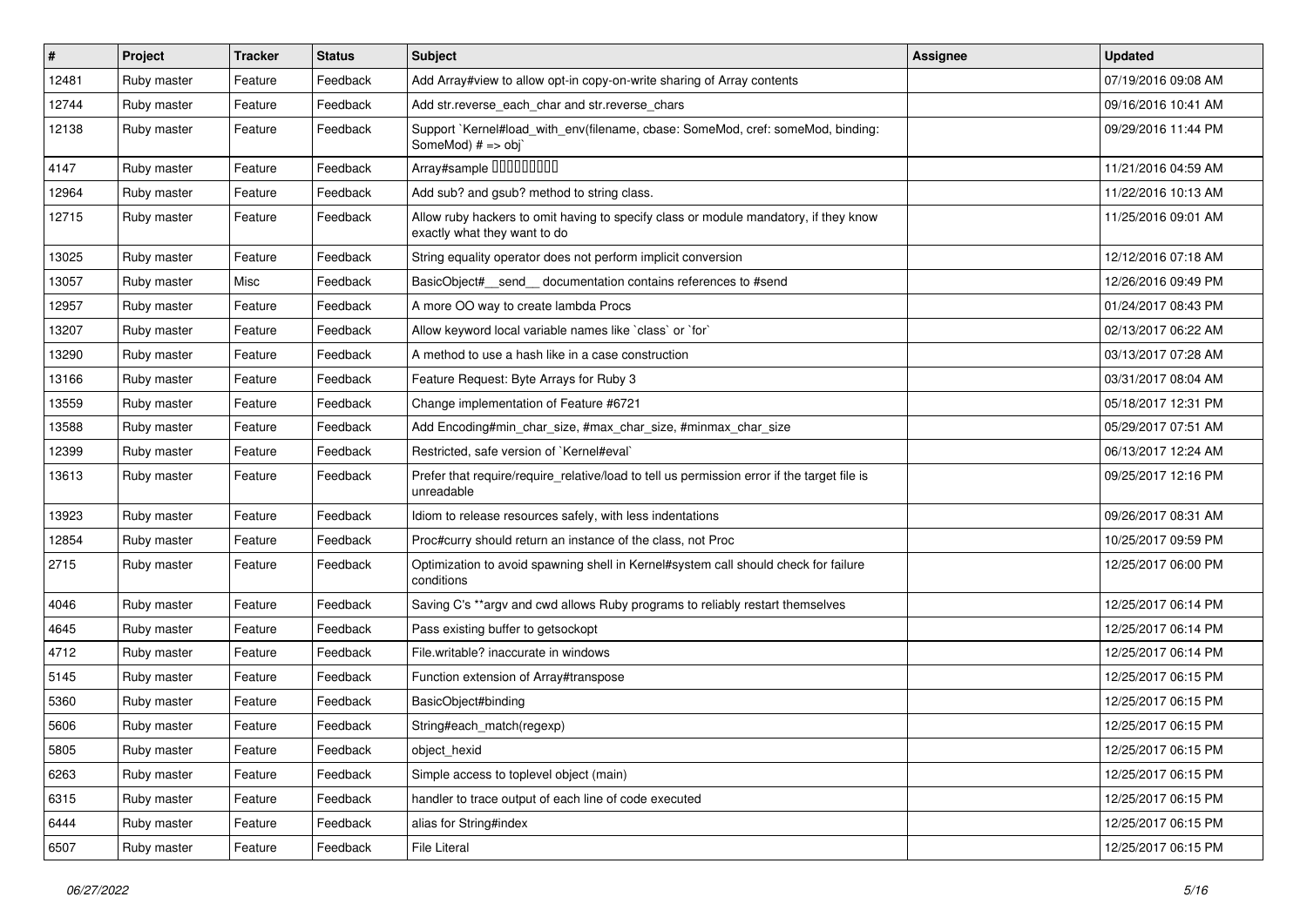| $\sharp$ | Project     | <b>Tracker</b> | <b>Status</b> | Subject                                                                                                              | <b>Assignee</b> | <b>Updated</b>      |
|----------|-------------|----------------|---------------|----------------------------------------------------------------------------------------------------------------------|-----------------|---------------------|
| 12481    | Ruby master | Feature        | Feedback      | Add Array#view to allow opt-in copy-on-write sharing of Array contents                                               |                 | 07/19/2016 09:08 AM |
| 12744    | Ruby master | Feature        | Feedback      | Add str.reverse_each_char and str.reverse_chars                                                                      |                 | 09/16/2016 10:41 AM |
| 12138    | Ruby master | Feature        | Feedback      | Support `Kernel#load_with_env(filename, cbase: SomeMod, cref: someMod, binding:<br>SomeMod) # => obj`                |                 | 09/29/2016 11:44 PM |
| 4147     | Ruby master | Feature        | Feedback      | Array#sample 00000000                                                                                                |                 | 11/21/2016 04:59 AM |
| 12964    | Ruby master | Feature        | Feedback      | Add sub? and gsub? method to string class.                                                                           |                 | 11/22/2016 10:13 AM |
| 12715    | Ruby master | Feature        | Feedback      | Allow ruby hackers to omit having to specify class or module mandatory, if they know<br>exactly what they want to do |                 | 11/25/2016 09:01 AM |
| 13025    | Ruby master | Feature        | Feedback      | String equality operator does not perform implicit conversion                                                        |                 | 12/12/2016 07:18 AM |
| 13057    | Ruby master | Misc           | Feedback      | BasicObject#_send_ documentation contains references to #send                                                        |                 | 12/26/2016 09:49 PM |
| 12957    | Ruby master | Feature        | Feedback      | A more OO way to create lambda Procs                                                                                 |                 | 01/24/2017 08:43 PM |
| 13207    | Ruby master | Feature        | Feedback      | Allow keyword local variable names like `class` or `for`                                                             |                 | 02/13/2017 06:22 AM |
| 13290    | Ruby master | Feature        | Feedback      | A method to use a hash like in a case construction                                                                   |                 | 03/13/2017 07:28 AM |
| 13166    | Ruby master | Feature        | Feedback      | Feature Request: Byte Arrays for Ruby 3                                                                              |                 | 03/31/2017 08:04 AM |
| 13559    | Ruby master | Feature        | Feedback      | Change implementation of Feature #6721                                                                               |                 | 05/18/2017 12:31 PM |
| 13588    | Ruby master | Feature        | Feedback      | Add Encoding#min_char_size, #max_char_size, #minmax_char_size                                                        |                 | 05/29/2017 07:51 AM |
| 12399    | Ruby master | Feature        | Feedback      | Restricted, safe version of `Kernel#eval`                                                                            |                 | 06/13/2017 12:24 AM |
| 13613    | Ruby master | Feature        | Feedback      | Prefer that require/require_relative/load to tell us permission error if the target file is<br>unreadable            |                 | 09/25/2017 12:16 PM |
| 13923    | Ruby master | Feature        | Feedback      | Idiom to release resources safely, with less indentations                                                            |                 | 09/26/2017 08:31 AM |
| 12854    | Ruby master | Feature        | Feedback      | Proc#curry should return an instance of the class, not Proc                                                          |                 | 10/25/2017 09:59 PM |
| 2715     | Ruby master | Feature        | Feedback      | Optimization to avoid spawning shell in Kernel#system call should check for failure<br>conditions                    |                 | 12/25/2017 06:00 PM |
| 4046     | Ruby master | Feature        | Feedback      | Saving C's **argv and cwd allows Ruby programs to reliably restart themselves                                        |                 | 12/25/2017 06:14 PM |
| 4645     | Ruby master | Feature        | Feedback      | Pass existing buffer to getsockopt                                                                                   |                 | 12/25/2017 06:14 PM |
| 4712     | Ruby master | Feature        | Feedback      | File.writable? inaccurate in windows                                                                                 |                 | 12/25/2017 06:14 PM |
| 5145     | Ruby master | Feature        | Feedback      | Function extension of Array#transpose                                                                                |                 | 12/25/2017 06:15 PM |
| 5360     | Ruby master | Feature        | Feedback      | BasicObject#binding                                                                                                  |                 | 12/25/2017 06:15 PM |
| 5606     | Ruby master | Feature        | Feedback      | String#each_match(regexp)                                                                                            |                 | 12/25/2017 06:15 PM |
| 5805     | Ruby master | Feature        | Feedback      | object_hexid                                                                                                         |                 | 12/25/2017 06:15 PM |
| 6263     | Ruby master | Feature        | Feedback      | Simple access to toplevel object (main)                                                                              |                 | 12/25/2017 06:15 PM |
| 6315     | Ruby master | Feature        | Feedback      | handler to trace output of each line of code executed                                                                |                 | 12/25/2017 06:15 PM |
| 6444     | Ruby master | Feature        | Feedback      | alias for String#index                                                                                               |                 | 12/25/2017 06:15 PM |
| 6507     | Ruby master | Feature        | Feedback      | File Literal                                                                                                         |                 | 12/25/2017 06:15 PM |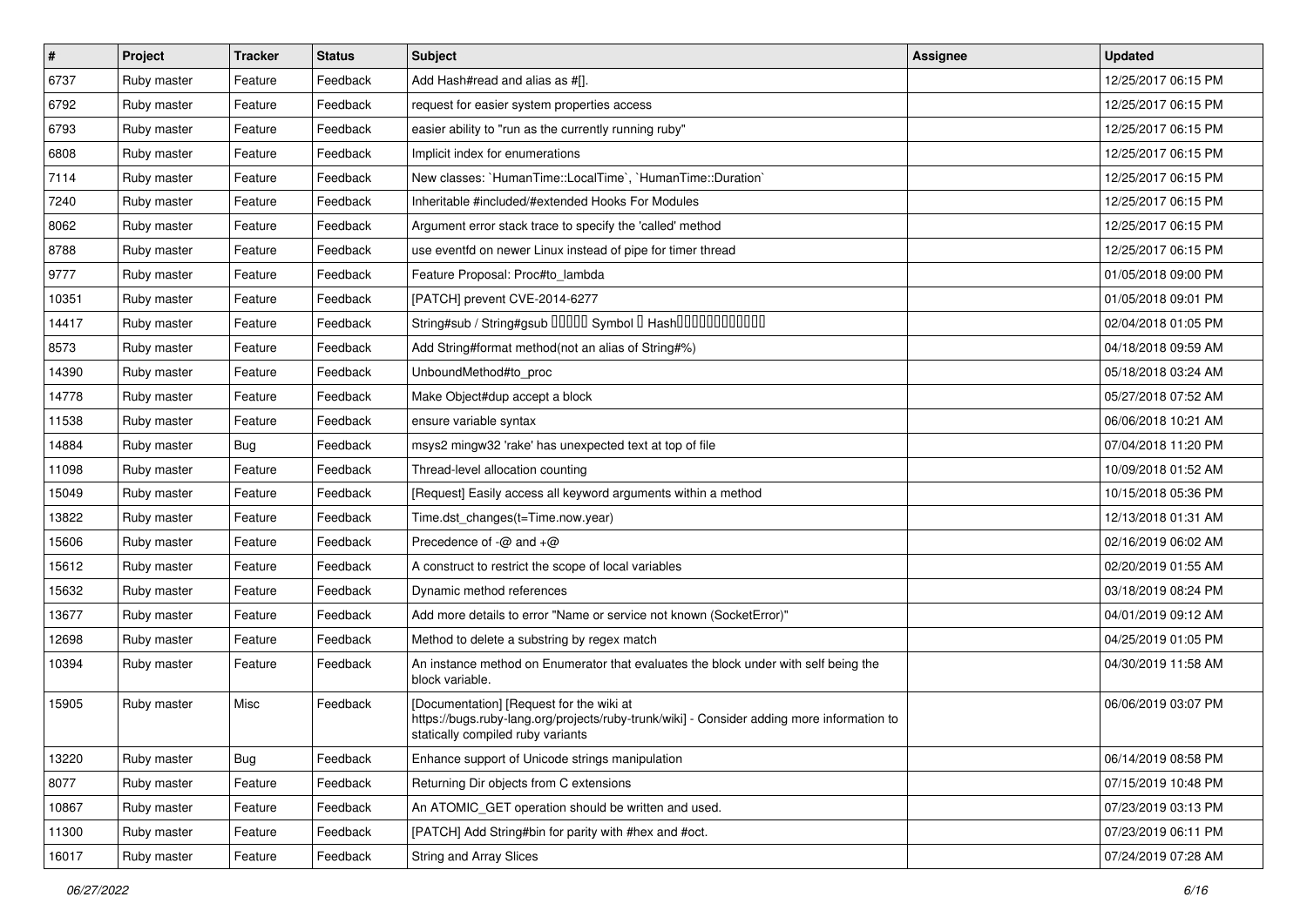| $\vert$ # | Project     | <b>Tracker</b> | <b>Status</b> | <b>Subject</b>                                                                                                                                                              | <b>Assignee</b> | <b>Updated</b>      |
|-----------|-------------|----------------|---------------|-----------------------------------------------------------------------------------------------------------------------------------------------------------------------------|-----------------|---------------------|
| 6737      | Ruby master | Feature        | Feedback      | Add Hash#read and alias as #[].                                                                                                                                             |                 | 12/25/2017 06:15 PM |
| 6792      | Ruby master | Feature        | Feedback      | request for easier system properties access                                                                                                                                 |                 | 12/25/2017 06:15 PM |
| 6793      | Ruby master | Feature        | Feedback      | easier ability to "run as the currently running ruby"                                                                                                                       |                 | 12/25/2017 06:15 PM |
| 6808      | Ruby master | Feature        | Feedback      | Implicit index for enumerations                                                                                                                                             |                 | 12/25/2017 06:15 PM |
| 7114      | Ruby master | Feature        | Feedback      | New classes: `HumanTime::LocalTime`, `HumanTime::Duration`                                                                                                                  |                 | 12/25/2017 06:15 PM |
| 7240      | Ruby master | Feature        | Feedback      | Inheritable #included/#extended Hooks For Modules                                                                                                                           |                 | 12/25/2017 06:15 PM |
| 8062      | Ruby master | Feature        | Feedback      | Argument error stack trace to specify the 'called' method                                                                                                                   |                 | 12/25/2017 06:15 PM |
| 8788      | Ruby master | Feature        | Feedback      | use eventfd on newer Linux instead of pipe for timer thread                                                                                                                 |                 | 12/25/2017 06:15 PM |
| 9777      | Ruby master | Feature        | Feedback      | Feature Proposal: Proc#to_lambda                                                                                                                                            |                 | 01/05/2018 09:00 PM |
| 10351     | Ruby master | Feature        | Feedback      | [PATCH] prevent CVE-2014-6277                                                                                                                                               |                 | 01/05/2018 09:01 PM |
| 14417     | Ruby master | Feature        | Feedback      | String#sub / String#gsub 00000 Symbol 0 Hash000000000000                                                                                                                    |                 | 02/04/2018 01:05 PM |
| 8573      | Ruby master | Feature        | Feedback      | Add String#format method(not an alias of String#%)                                                                                                                          |                 | 04/18/2018 09:59 AM |
| 14390     | Ruby master | Feature        | Feedback      | UnboundMethod#to proc                                                                                                                                                       |                 | 05/18/2018 03:24 AM |
| 14778     | Ruby master | Feature        | Feedback      | Make Object#dup accept a block                                                                                                                                              |                 | 05/27/2018 07:52 AM |
| 11538     | Ruby master | Feature        | Feedback      | ensure variable syntax                                                                                                                                                      |                 | 06/06/2018 10:21 AM |
| 14884     | Ruby master | Bug            | Feedback      | msys2 mingw32 'rake' has unexpected text at top of file                                                                                                                     |                 | 07/04/2018 11:20 PM |
| 11098     | Ruby master | Feature        | Feedback      | Thread-level allocation counting                                                                                                                                            |                 | 10/09/2018 01:52 AM |
| 15049     | Ruby master | Feature        | Feedback      | [Request] Easily access all keyword arguments within a method                                                                                                               |                 | 10/15/2018 05:36 PM |
| 13822     | Ruby master | Feature        | Feedback      | Time.dst_changes(t=Time.now.year)                                                                                                                                           |                 | 12/13/2018 01:31 AM |
| 15606     | Ruby master | Feature        | Feedback      | Precedence of $-\omega$ and $+\omega$                                                                                                                                       |                 | 02/16/2019 06:02 AM |
| 15612     | Ruby master | Feature        | Feedback      | A construct to restrict the scope of local variables                                                                                                                        |                 | 02/20/2019 01:55 AM |
| 15632     | Ruby master | Feature        | Feedback      | Dynamic method references                                                                                                                                                   |                 | 03/18/2019 08:24 PM |
| 13677     | Ruby master | Feature        | Feedback      | Add more details to error "Name or service not known (SocketError)"                                                                                                         |                 | 04/01/2019 09:12 AM |
| 12698     | Ruby master | Feature        | Feedback      | Method to delete a substring by regex match                                                                                                                                 |                 | 04/25/2019 01:05 PM |
| 10394     | Ruby master | Feature        | Feedback      | An instance method on Enumerator that evaluates the block under with self being the<br>block variable.                                                                      |                 | 04/30/2019 11:58 AM |
| 15905     | Ruby master | Misc           | Feedback      | [Documentation] [Request for the wiki at<br>https://bugs.ruby-lang.org/projects/ruby-trunk/wiki] - Consider adding more information to<br>statically compiled ruby variants |                 | 06/06/2019 03:07 PM |
| 13220     | Ruby master | <b>Bug</b>     | Feedback      | Enhance support of Unicode strings manipulation                                                                                                                             |                 | 06/14/2019 08:58 PM |
| 8077      | Ruby master | Feature        | Feedback      | Returning Dir objects from C extensions                                                                                                                                     |                 | 07/15/2019 10:48 PM |
| 10867     | Ruby master | Feature        | Feedback      | An ATOMIC_GET operation should be written and used.                                                                                                                         |                 | 07/23/2019 03:13 PM |
| 11300     | Ruby master | Feature        | Feedback      | [PATCH] Add String#bin for parity with #hex and #oct.                                                                                                                       |                 | 07/23/2019 06:11 PM |
| 16017     | Ruby master | Feature        | Feedback      | <b>String and Array Slices</b>                                                                                                                                              |                 | 07/24/2019 07:28 AM |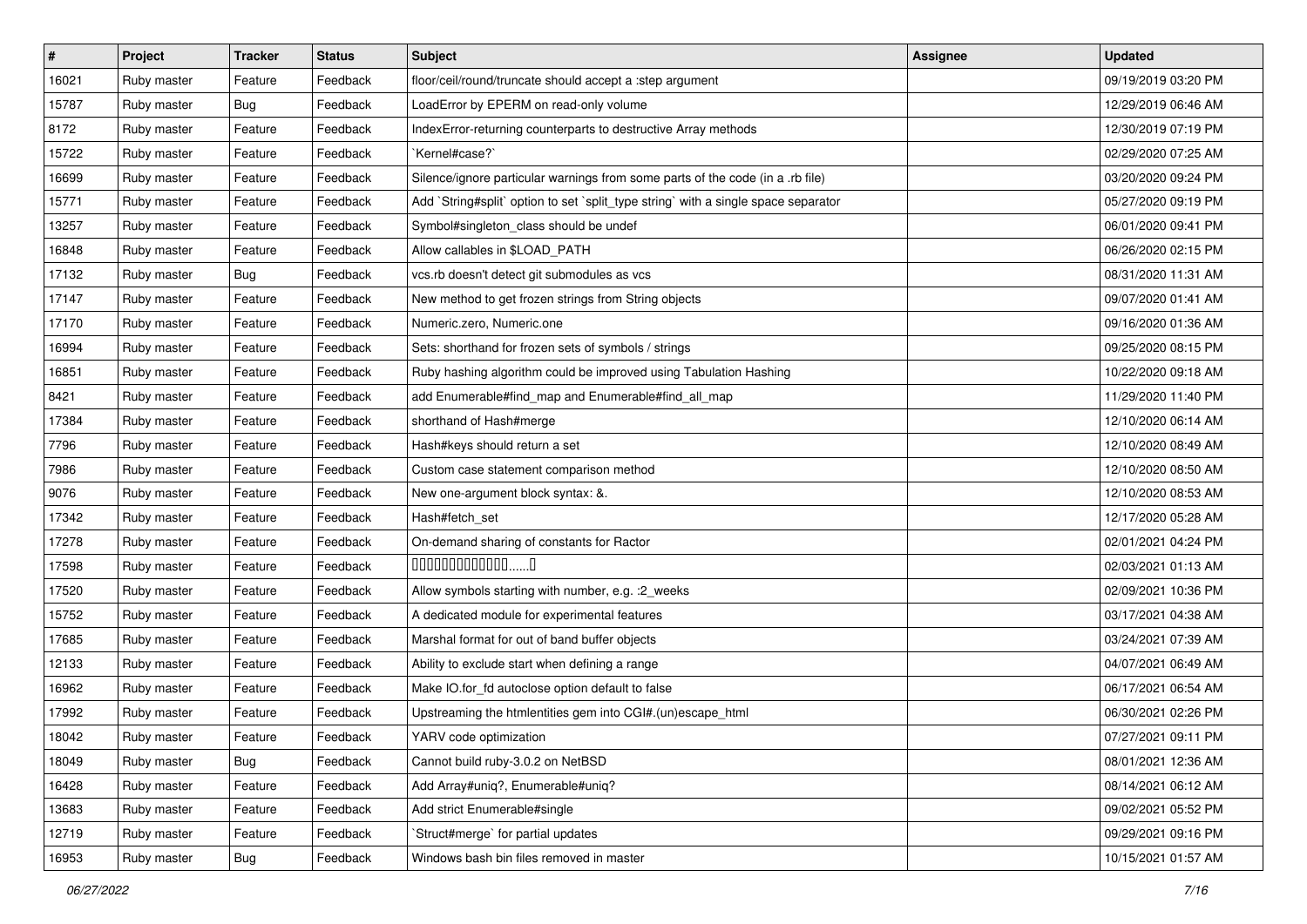| #     | <b>Project</b> | <b>Tracker</b> | <b>Status</b> | <b>Subject</b>                                                                     | Assignee | <b>Updated</b>      |
|-------|----------------|----------------|---------------|------------------------------------------------------------------------------------|----------|---------------------|
| 16021 | Ruby master    | Feature        | Feedback      | floor/ceil/round/truncate should accept a :step argument                           |          | 09/19/2019 03:20 PM |
| 15787 | Ruby master    | Bug            | Feedback      | LoadError by EPERM on read-only volume                                             |          | 12/29/2019 06:46 AM |
| 8172  | Ruby master    | Feature        | Feedback      | IndexError-returning counterparts to destructive Array methods                     |          | 12/30/2019 07:19 PM |
| 15722 | Ruby master    | Feature        | Feedback      | `Kernel#case?`                                                                     |          | 02/29/2020 07:25 AM |
| 16699 | Ruby master    | Feature        | Feedback      | Silence/ignore particular warnings from some parts of the code (in a .rb file)     |          | 03/20/2020 09:24 PM |
| 15771 | Ruby master    | Feature        | Feedback      | Add `String#split` option to set `split_type string` with a single space separator |          | 05/27/2020 09:19 PM |
| 13257 | Ruby master    | Feature        | Feedback      | Symbol#singleton_class should be undef                                             |          | 06/01/2020 09:41 PM |
| 16848 | Ruby master    | Feature        | Feedback      | Allow callables in \$LOAD PATH                                                     |          | 06/26/2020 02:15 PM |
| 17132 | Ruby master    | Bug            | Feedback      | vcs.rb doesn't detect git submodules as vcs                                        |          | 08/31/2020 11:31 AM |
| 17147 | Ruby master    | Feature        | Feedback      | New method to get frozen strings from String objects                               |          | 09/07/2020 01:41 AM |
| 17170 | Ruby master    | Feature        | Feedback      | Numeric.zero, Numeric.one                                                          |          | 09/16/2020 01:36 AM |
| 16994 | Ruby master    | Feature        | Feedback      | Sets: shorthand for frozen sets of symbols / strings                               |          | 09/25/2020 08:15 PM |
| 16851 | Ruby master    | Feature        | Feedback      | Ruby hashing algorithm could be improved using Tabulation Hashing                  |          | 10/22/2020 09:18 AM |
| 8421  | Ruby master    | Feature        | Feedback      | add Enumerable#find_map and Enumerable#find_all_map                                |          | 11/29/2020 11:40 PM |
| 17384 | Ruby master    | Feature        | Feedback      | shorthand of Hash#merge                                                            |          | 12/10/2020 06:14 AM |
| 7796  | Ruby master    | Feature        | Feedback      | Hash#keys should return a set                                                      |          | 12/10/2020 08:49 AM |
| 7986  | Ruby master    | Feature        | Feedback      | Custom case statement comparison method                                            |          | 12/10/2020 08:50 AM |
| 9076  | Ruby master    | Feature        | Feedback      | New one-argument block syntax: &.                                                  |          | 12/10/2020 08:53 AM |
| 17342 | Ruby master    | Feature        | Feedback      | Hash#fetch_set                                                                     |          | 12/17/2020 05:28 AM |
| 17278 | Ruby master    | Feature        | Feedback      | On-demand sharing of constants for Ractor                                          |          | 02/01/2021 04:24 PM |
| 17598 | Ruby master    | Feature        | Feedback      | $00000000000000010$                                                                |          | 02/03/2021 01:13 AM |
| 17520 | Ruby master    | Feature        | Feedback      | Allow symbols starting with number, e.g. : 2_weeks                                 |          | 02/09/2021 10:36 PM |
| 15752 | Ruby master    | Feature        | Feedback      | A dedicated module for experimental features                                       |          | 03/17/2021 04:38 AM |
| 17685 | Ruby master    | Feature        | Feedback      | Marshal format for out of band buffer objects                                      |          | 03/24/2021 07:39 AM |
| 12133 | Ruby master    | Feature        | Feedback      | Ability to exclude start when defining a range                                     |          | 04/07/2021 06:49 AM |
| 16962 | Ruby master    | Feature        | Feedback      | Make IO.for_fd autoclose option default to false                                   |          | 06/17/2021 06:54 AM |
| 17992 | Ruby master    | Feature        | Feedback      | Upstreaming the htmlentities gem into CGI#.(un)escape_html                         |          | 06/30/2021 02:26 PM |
| 18042 | Ruby master    | Feature        | Feedback      | YARV code optimization                                                             |          | 07/27/2021 09:11 PM |
| 18049 | Ruby master    | <b>Bug</b>     | Feedback      | Cannot build ruby-3.0.2 on NetBSD                                                  |          | 08/01/2021 12:36 AM |
| 16428 | Ruby master    | Feature        | Feedback      | Add Array#uniq?, Enumerable#uniq?                                                  |          | 08/14/2021 06:12 AM |
| 13683 | Ruby master    | Feature        | Feedback      | Add strict Enumerable#single                                                       |          | 09/02/2021 05:52 PM |
| 12719 | Ruby master    | Feature        | Feedback      | 'Struct#merge' for partial updates                                                 |          | 09/29/2021 09:16 PM |
| 16953 | Ruby master    | Bug            | Feedback      | Windows bash bin files removed in master                                           |          | 10/15/2021 01:57 AM |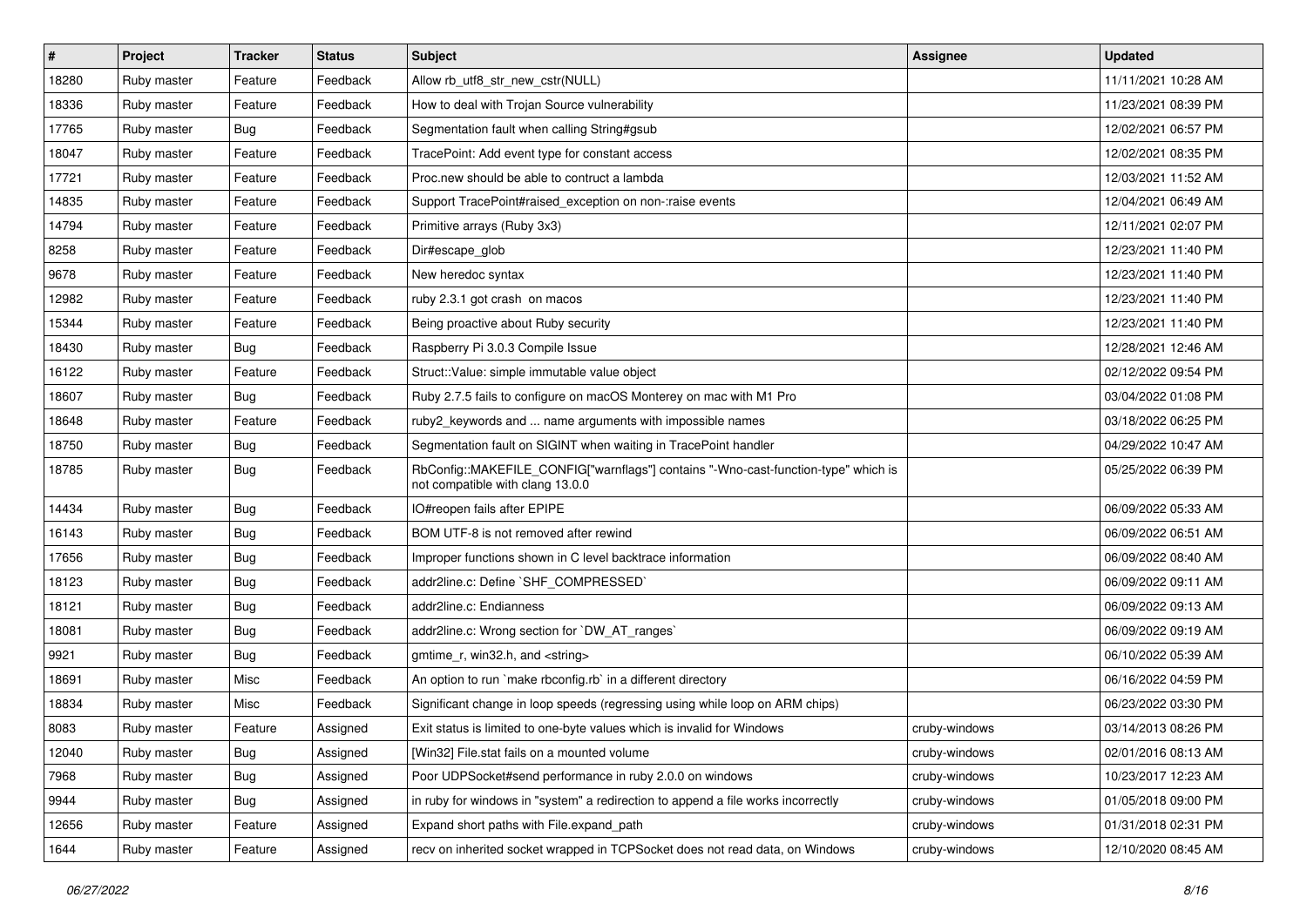| $\vert$ # | Project     | <b>Tracker</b> | <b>Status</b> | Subject                                                                                                                | <b>Assignee</b> | <b>Updated</b>      |
|-----------|-------------|----------------|---------------|------------------------------------------------------------------------------------------------------------------------|-----------------|---------------------|
| 18280     | Ruby master | Feature        | Feedback      | Allow rb utf8 str new cstr(NULL)                                                                                       |                 | 11/11/2021 10:28 AM |
| 18336     | Ruby master | Feature        | Feedback      | How to deal with Trojan Source vulnerability                                                                           |                 | 11/23/2021 08:39 PM |
| 17765     | Ruby master | Bug            | Feedback      | Segmentation fault when calling String#gsub                                                                            |                 | 12/02/2021 06:57 PM |
| 18047     | Ruby master | Feature        | Feedback      | TracePoint: Add event type for constant access                                                                         |                 | 12/02/2021 08:35 PM |
| 17721     | Ruby master | Feature        | Feedback      | Proc.new should be able to contruct a lambda                                                                           |                 | 12/03/2021 11:52 AM |
| 14835     | Ruby master | Feature        | Feedback      | Support TracePoint#raised_exception on non-:raise events                                                               |                 | 12/04/2021 06:49 AM |
| 14794     | Ruby master | Feature        | Feedback      | Primitive arrays (Ruby 3x3)                                                                                            |                 | 12/11/2021 02:07 PM |
| 8258      | Ruby master | Feature        | Feedback      | Dir#escape_glob                                                                                                        |                 | 12/23/2021 11:40 PM |
| 9678      | Ruby master | Feature        | Feedback      | New heredoc syntax                                                                                                     |                 | 12/23/2021 11:40 PM |
| 12982     | Ruby master | Feature        | Feedback      | ruby 2.3.1 got crash on macos                                                                                          |                 | 12/23/2021 11:40 PM |
| 15344     | Ruby master | Feature        | Feedback      | Being proactive about Ruby security                                                                                    |                 | 12/23/2021 11:40 PM |
| 18430     | Ruby master | Bug            | Feedback      | Raspberry Pi 3.0.3 Compile Issue                                                                                       |                 | 12/28/2021 12:46 AM |
| 16122     | Ruby master | Feature        | Feedback      | Struct::Value: simple immutable value object                                                                           |                 | 02/12/2022 09:54 PM |
| 18607     | Ruby master | <b>Bug</b>     | Feedback      | Ruby 2.7.5 fails to configure on macOS Monterey on mac with M1 Pro                                                     |                 | 03/04/2022 01:08 PM |
| 18648     | Ruby master | Feature        | Feedback      | ruby2_keywords and  name arguments with impossible names                                                               |                 | 03/18/2022 06:25 PM |
| 18750     | Ruby master | <b>Bug</b>     | Feedback      | Segmentation fault on SIGINT when waiting in TracePoint handler                                                        |                 | 04/29/2022 10:47 AM |
| 18785     | Ruby master | Bug            | Feedback      | RbConfig::MAKEFILE_CONFIG["warnflags"] contains "-Wno-cast-function-type" which is<br>not compatible with clang 13.0.0 |                 | 05/25/2022 06:39 PM |
| 14434     | Ruby master | Bug            | Feedback      | IO#reopen fails after EPIPE                                                                                            |                 | 06/09/2022 05:33 AM |
| 16143     | Ruby master | <b>Bug</b>     | Feedback      | BOM UTF-8 is not removed after rewind                                                                                  |                 | 06/09/2022 06:51 AM |
| 17656     | Ruby master | <b>Bug</b>     | Feedback      | Improper functions shown in C level backtrace information                                                              |                 | 06/09/2022 08:40 AM |
| 18123     | Ruby master | <b>Bug</b>     | Feedback      | addr2line.c: Define `SHF_COMPRESSED`                                                                                   |                 | 06/09/2022 09:11 AM |
| 18121     | Ruby master | <b>Bug</b>     | Feedback      | addr2line.c: Endianness                                                                                                |                 | 06/09/2022 09:13 AM |
| 18081     | Ruby master | <b>Bug</b>     | Feedback      | addr2line.c: Wrong section for `DW_AT_ranges`                                                                          |                 | 06/09/2022 09:19 AM |
| 9921      | Ruby master | <b>Bug</b>     | Feedback      | gmtime_r, win32.h, and <string></string>                                                                               |                 | 06/10/2022 05:39 AM |
| 18691     | Ruby master | Misc           | Feedback      | An option to run `make rbconfig.rb` in a different directory                                                           |                 | 06/16/2022 04:59 PM |
| 18834     | Ruby master | Misc           | Feedback      | Significant change in loop speeds (regressing using while loop on ARM chips)                                           |                 | 06/23/2022 03:30 PM |
| 8083      | Ruby master | Feature        | Assigned      | Exit status is limited to one-byte values which is invalid for Windows                                                 | cruby-windows   | 03/14/2013 08:26 PM |
| 12040     | Ruby master | <b>Bug</b>     | Assigned      | [Win32] File.stat fails on a mounted volume                                                                            | cruby-windows   | 02/01/2016 08:13 AM |
| 7968      | Ruby master | <b>Bug</b>     | Assigned      | Poor UDPSocket#send performance in ruby 2.0.0 on windows                                                               | cruby-windows   | 10/23/2017 12:23 AM |
| 9944      | Ruby master | <b>Bug</b>     | Assigned      | in ruby for windows in "system" a redirection to append a file works incorrectly                                       | cruby-windows   | 01/05/2018 09:00 PM |
| 12656     | Ruby master | Feature        | Assigned      | Expand short paths with File.expand_path                                                                               | cruby-windows   | 01/31/2018 02:31 PM |
| 1644      | Ruby master | Feature        | Assigned      | recv on inherited socket wrapped in TCPSocket does not read data, on Windows                                           | cruby-windows   | 12/10/2020 08:45 AM |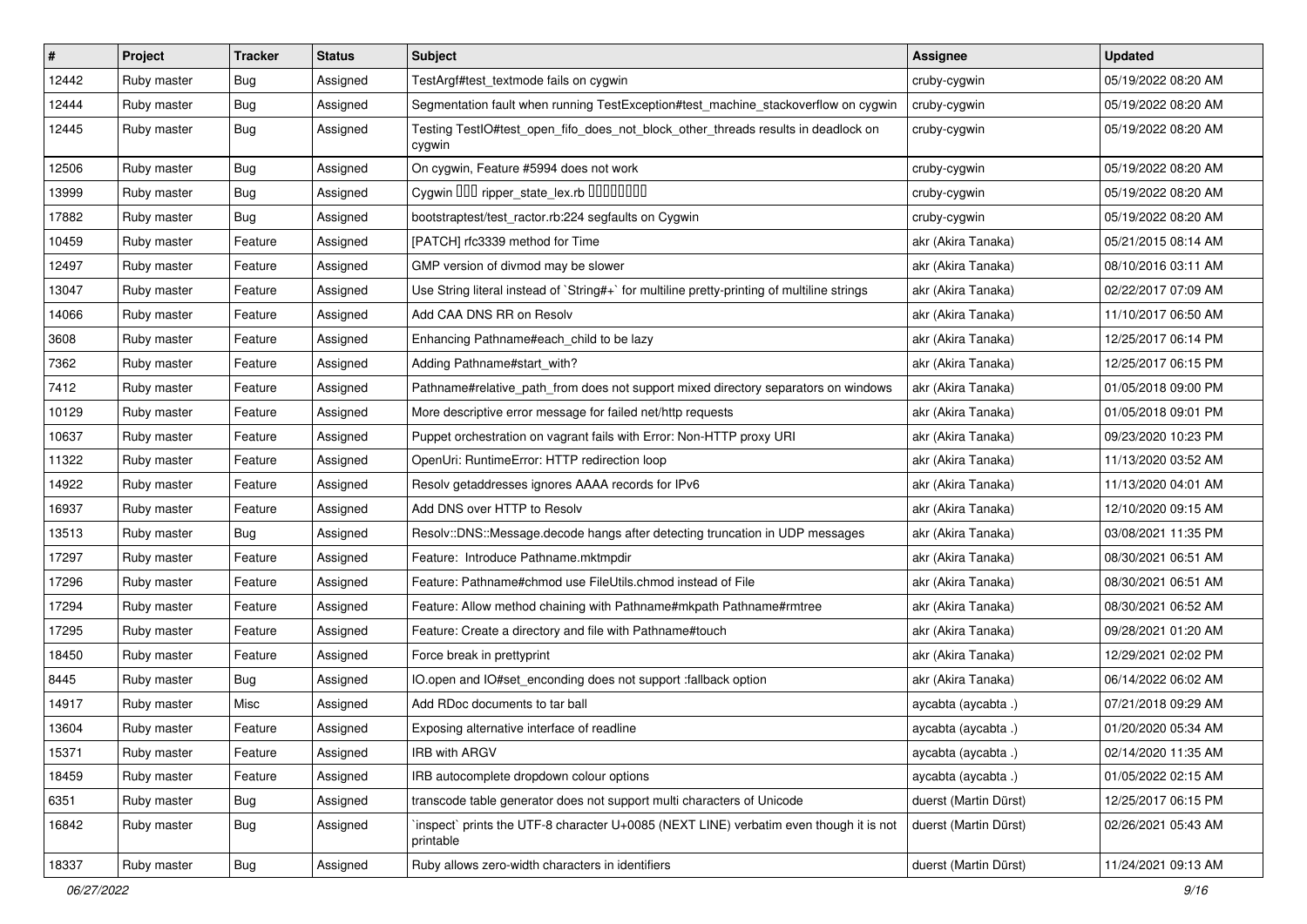| #     | Project     | <b>Tracker</b> | <b>Status</b> | Subject                                                                                             | <b>Assignee</b>       | <b>Updated</b>      |
|-------|-------------|----------------|---------------|-----------------------------------------------------------------------------------------------------|-----------------------|---------------------|
| 12442 | Ruby master | Bug            | Assigned      | TestArgf#test_textmode fails on cygwin                                                              | cruby-cygwin          | 05/19/2022 08:20 AM |
| 12444 | Ruby master | <b>Bug</b>     | Assigned      | Segmentation fault when running TestException#test_machine_stackoverflow on cygwin                  | cruby-cygwin          | 05/19/2022 08:20 AM |
| 12445 | Ruby master | <b>Bug</b>     | Assigned      | Testing TestIO#test_open_fifo_does_not_block_other_threads results in deadlock on<br>cygwin         | cruby-cygwin          | 05/19/2022 08:20 AM |
| 12506 | Ruby master | Bug            | Assigned      | On cygwin, Feature #5994 does not work                                                              | cruby-cygwin          | 05/19/2022 08:20 AM |
| 13999 | Ruby master | <b>Bug</b>     | Assigned      | Cygwin OOD ripper_state_lex.rb 00000000                                                             | cruby-cygwin          | 05/19/2022 08:20 AM |
| 17882 | Ruby master | Bug            | Assigned      | bootstraptest/test_ractor.rb:224 segfaults on Cygwin                                                | cruby-cygwin          | 05/19/2022 08:20 AM |
| 10459 | Ruby master | Feature        | Assigned      | [PATCH] rfc3339 method for Time                                                                     | akr (Akira Tanaka)    | 05/21/2015 08:14 AM |
| 12497 | Ruby master | Feature        | Assigned      | GMP version of divmod may be slower                                                                 | akr (Akira Tanaka)    | 08/10/2016 03:11 AM |
| 13047 | Ruby master | Feature        | Assigned      | Use String literal instead of `String#+` for multiline pretty-printing of multiline strings         | akr (Akira Tanaka)    | 02/22/2017 07:09 AM |
| 14066 | Ruby master | Feature        | Assigned      | Add CAA DNS RR on Resolv                                                                            | akr (Akira Tanaka)    | 11/10/2017 06:50 AM |
| 3608  | Ruby master | Feature        | Assigned      | Enhancing Pathname#each_child to be lazy                                                            | akr (Akira Tanaka)    | 12/25/2017 06:14 PM |
| 7362  | Ruby master | Feature        | Assigned      | Adding Pathname#start_with?                                                                         | akr (Akira Tanaka)    | 12/25/2017 06:15 PM |
| 7412  | Ruby master | Feature        | Assigned      | Pathname#relative_path_from does not support mixed directory separators on windows                  | akr (Akira Tanaka)    | 01/05/2018 09:00 PM |
| 10129 | Ruby master | Feature        | Assigned      | More descriptive error message for failed net/http requests                                         | akr (Akira Tanaka)    | 01/05/2018 09:01 PM |
| 10637 | Ruby master | Feature        | Assigned      | Puppet orchestration on vagrant fails with Error: Non-HTTP proxy URI                                | akr (Akira Tanaka)    | 09/23/2020 10:23 PM |
| 11322 | Ruby master | Feature        | Assigned      | OpenUri: RuntimeError: HTTP redirection loop                                                        | akr (Akira Tanaka)    | 11/13/2020 03:52 AM |
| 14922 | Ruby master | Feature        | Assigned      | Resolv getaddresses ignores AAAA records for IPv6                                                   | akr (Akira Tanaka)    | 11/13/2020 04:01 AM |
| 16937 | Ruby master | Feature        | Assigned      | Add DNS over HTTP to Resolv                                                                         | akr (Akira Tanaka)    | 12/10/2020 09:15 AM |
| 13513 | Ruby master | <b>Bug</b>     | Assigned      | Resolv::DNS::Message.decode hangs after detecting truncation in UDP messages                        | akr (Akira Tanaka)    | 03/08/2021 11:35 PM |
| 17297 | Ruby master | Feature        | Assigned      | Feature: Introduce Pathname.mktmpdir                                                                | akr (Akira Tanaka)    | 08/30/2021 06:51 AM |
| 17296 | Ruby master | Feature        | Assigned      | Feature: Pathname#chmod use FileUtils.chmod instead of File                                         | akr (Akira Tanaka)    | 08/30/2021 06:51 AM |
| 17294 | Ruby master | Feature        | Assigned      | Feature: Allow method chaining with Pathname#mkpath Pathname#rmtree                                 | akr (Akira Tanaka)    | 08/30/2021 06:52 AM |
| 17295 | Ruby master | Feature        | Assigned      | Feature: Create a directory and file with Pathname#touch                                            | akr (Akira Tanaka)    | 09/28/2021 01:20 AM |
| 18450 | Ruby master | Feature        | Assigned      | Force break in prettyprint                                                                          | akr (Akira Tanaka)    | 12/29/2021 02:02 PM |
| 8445  | Ruby master | <b>Bug</b>     | Assigned      | IO.open and IO#set_enconding does not support :fallback option                                      | akr (Akira Tanaka)    | 06/14/2022 06:02 AM |
| 14917 | Ruby master | Misc           | Assigned      | Add RDoc documents to tar ball                                                                      | aycabta (aycabta.)    | 07/21/2018 09:29 AM |
| 13604 | Ruby master | Feature        | Assigned      | Exposing alternative interface of readline                                                          | aycabta (aycabta.)    | 01/20/2020 05:34 AM |
| 15371 | Ruby master | Feature        | Assigned      | IRB with ARGV                                                                                       | aycabta (aycabta.)    | 02/14/2020 11:35 AM |
| 18459 | Ruby master | Feature        | Assigned      | IRB autocomplete dropdown colour options                                                            | aycabta (aycabta.)    | 01/05/2022 02:15 AM |
| 6351  | Ruby master | <b>Bug</b>     | Assigned      | transcode table generator does not support multi characters of Unicode                              | duerst (Martin Dürst) | 12/25/2017 06:15 PM |
| 16842 | Ruby master | Bug            | Assigned      | 'inspect' prints the UTF-8 character U+0085 (NEXT LINE) verbatim even though it is not<br>printable | duerst (Martin Dürst) | 02/26/2021 05:43 AM |
| 18337 | Ruby master | Bug            | Assigned      | Ruby allows zero-width characters in identifiers                                                    | duerst (Martin Dürst) | 11/24/2021 09:13 AM |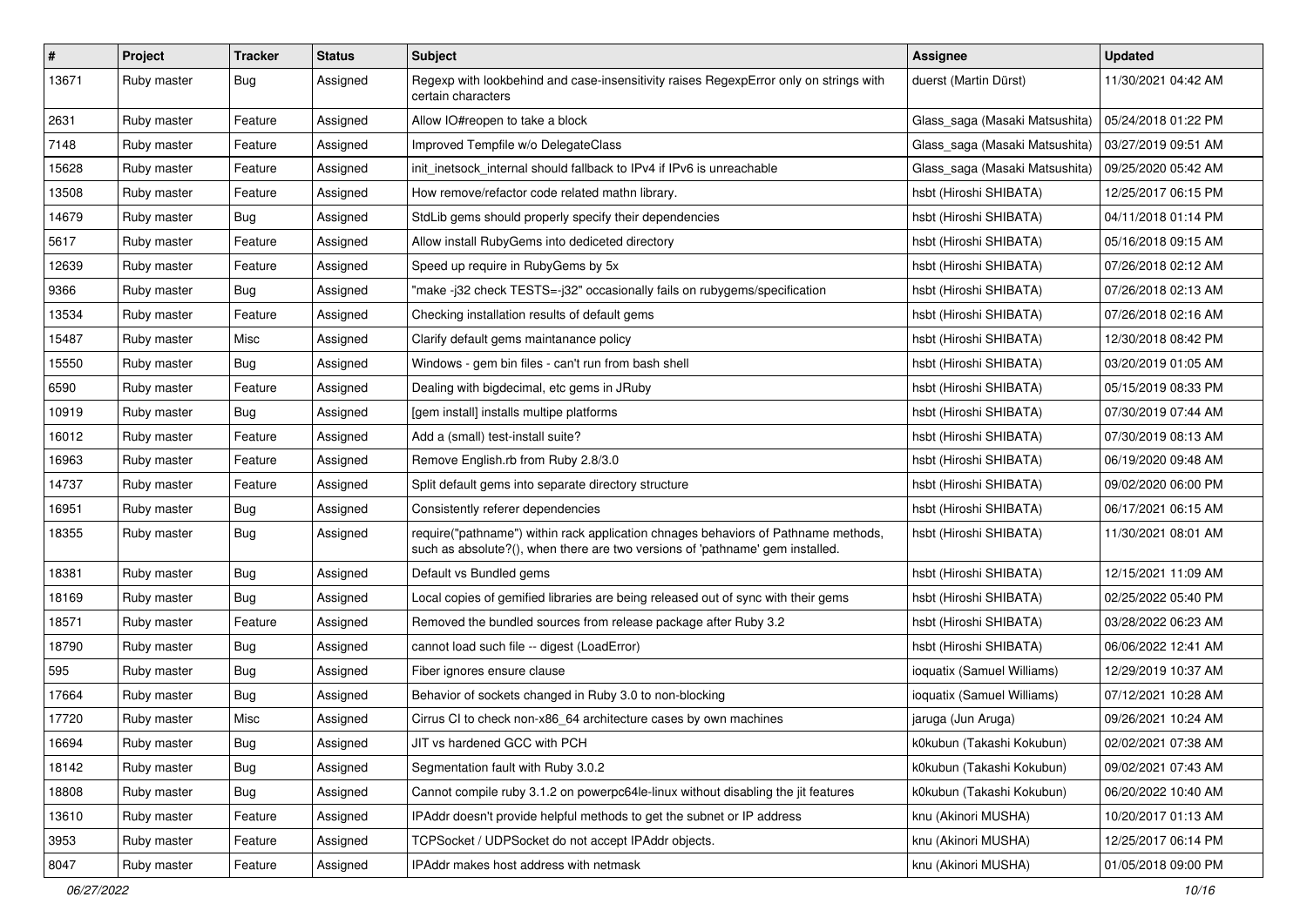| $\vert$ # | Project     | <b>Tracker</b> | <b>Status</b> | Subject                                                                                                                                                             | <b>Assignee</b>                | <b>Updated</b>      |
|-----------|-------------|----------------|---------------|---------------------------------------------------------------------------------------------------------------------------------------------------------------------|--------------------------------|---------------------|
| 13671     | Ruby master | Bug            | Assigned      | Regexp with lookbehind and case-insensitivity raises RegexpError only on strings with<br>certain characters                                                         | duerst (Martin Dürst)          | 11/30/2021 04:42 AM |
| 2631      | Ruby master | Feature        | Assigned      | Allow IO#reopen to take a block                                                                                                                                     | Glass saga (Masaki Matsushita) | 05/24/2018 01:22 PM |
| 7148      | Ruby master | Feature        | Assigned      | Improved Tempfile w/o DelegateClass                                                                                                                                 | Glass_saga (Masaki Matsushita) | 03/27/2019 09:51 AM |
| 15628     | Ruby master | Feature        | Assigned      | init_inetsock_internal should fallback to IPv4 if IPv6 is unreachable                                                                                               | Glass_saga (Masaki Matsushita) | 09/25/2020 05:42 AM |
| 13508     | Ruby master | Feature        | Assigned      | How remove/refactor code related mathn library.                                                                                                                     | hsbt (Hiroshi SHIBATA)         | 12/25/2017 06:15 PM |
| 14679     | Ruby master | Bug            | Assigned      | StdLib gems should properly specify their dependencies                                                                                                              | hsbt (Hiroshi SHIBATA)         | 04/11/2018 01:14 PM |
| 5617      | Ruby master | Feature        | Assigned      | Allow install RubyGems into dediceted directory                                                                                                                     | hsbt (Hiroshi SHIBATA)         | 05/16/2018 09:15 AM |
| 12639     | Ruby master | Feature        | Assigned      | Speed up require in RubyGems by 5x                                                                                                                                  | hsbt (Hiroshi SHIBATA)         | 07/26/2018 02:12 AM |
| 9366      | Ruby master | Bug            | Assigned      | "make -j32 check TESTS=-j32" occasionally fails on rubygems/specification                                                                                           | hsbt (Hiroshi SHIBATA)         | 07/26/2018 02:13 AM |
| 13534     | Ruby master | Feature        | Assigned      | Checking installation results of default gems                                                                                                                       | hsbt (Hiroshi SHIBATA)         | 07/26/2018 02:16 AM |
| 15487     | Ruby master | Misc           | Assigned      | Clarify default gems maintanance policy                                                                                                                             | hsbt (Hiroshi SHIBATA)         | 12/30/2018 08:42 PM |
| 15550     | Ruby master | Bug            | Assigned      | Windows - gem bin files - can't run from bash shell                                                                                                                 | hsbt (Hiroshi SHIBATA)         | 03/20/2019 01:05 AM |
| 6590      | Ruby master | Feature        | Assigned      | Dealing with bigdecimal, etc gems in JRuby                                                                                                                          | hsbt (Hiroshi SHIBATA)         | 05/15/2019 08:33 PM |
| 10919     | Ruby master | Bug            | Assigned      | [gem install] installs multipe platforms                                                                                                                            | hsbt (Hiroshi SHIBATA)         | 07/30/2019 07:44 AM |
| 16012     | Ruby master | Feature        | Assigned      | Add a (small) test-install suite?                                                                                                                                   | hsbt (Hiroshi SHIBATA)         | 07/30/2019 08:13 AM |
| 16963     | Ruby master | Feature        | Assigned      | Remove English.rb from Ruby 2.8/3.0                                                                                                                                 | hsbt (Hiroshi SHIBATA)         | 06/19/2020 09:48 AM |
| 14737     | Ruby master | Feature        | Assigned      | Split default gems into separate directory structure                                                                                                                | hsbt (Hiroshi SHIBATA)         | 09/02/2020 06:00 PM |
| 16951     | Ruby master | Bug            | Assigned      | Consistently referer dependencies                                                                                                                                   | hsbt (Hiroshi SHIBATA)         | 06/17/2021 06:15 AM |
| 18355     | Ruby master | Bug            | Assigned      | require("pathname") within rack application chnages behaviors of Pathname methods,<br>such as absolute?(), when there are two versions of 'pathname' gem installed. | hsbt (Hiroshi SHIBATA)         | 11/30/2021 08:01 AM |
| 18381     | Ruby master | Bug            | Assigned      | Default vs Bundled gems                                                                                                                                             | hsbt (Hiroshi SHIBATA)         | 12/15/2021 11:09 AM |
| 18169     | Ruby master | <b>Bug</b>     | Assigned      | Local copies of gemified libraries are being released out of sync with their gems                                                                                   | hsbt (Hiroshi SHIBATA)         | 02/25/2022 05:40 PM |
| 18571     | Ruby master | Feature        | Assigned      | Removed the bundled sources from release package after Ruby 3.2                                                                                                     | hsbt (Hiroshi SHIBATA)         | 03/28/2022 06:23 AM |
| 18790     | Ruby master | Bug            | Assigned      | cannot load such file -- digest (LoadError)                                                                                                                         | hsbt (Hiroshi SHIBATA)         | 06/06/2022 12:41 AM |
| 595       | Ruby master | Bug            | Assigned      | Fiber ignores ensure clause                                                                                                                                         | ioquatix (Samuel Williams)     | 12/29/2019 10:37 AM |
| 17664     | Ruby master | Bug            | Assigned      | Behavior of sockets changed in Ruby 3.0 to non-blocking                                                                                                             | ioquatix (Samuel Williams)     | 07/12/2021 10:28 AM |
| 17720     | Ruby master | Misc           | Assigned      | Cirrus CI to check non-x86_64 architecture cases by own machines                                                                                                    | jaruga (Jun Aruga)             | 09/26/2021 10:24 AM |
| 16694     | Ruby master | Bug            | Assigned      | JIT vs hardened GCC with PCH                                                                                                                                        | k0kubun (Takashi Kokubun)      | 02/02/2021 07:38 AM |
| 18142     | Ruby master | <b>Bug</b>     | Assigned      | Segmentation fault with Ruby 3.0.2                                                                                                                                  | k0kubun (Takashi Kokubun)      | 09/02/2021 07:43 AM |
| 18808     | Ruby master | <b>Bug</b>     | Assigned      | Cannot compile ruby 3.1.2 on powerpc64le-linux without disabling the jit features                                                                                   | k0kubun (Takashi Kokubun)      | 06/20/2022 10:40 AM |
| 13610     | Ruby master | Feature        | Assigned      | IPAddr doesn't provide helpful methods to get the subnet or IP address                                                                                              | knu (Akinori MUSHA)            | 10/20/2017 01:13 AM |
| 3953      | Ruby master | Feature        | Assigned      | TCPSocket / UDPSocket do not accept IPAddr objects.                                                                                                                 | knu (Akinori MUSHA)            | 12/25/2017 06:14 PM |
| 8047      | Ruby master | Feature        | Assigned      | IPAddr makes host address with netmask                                                                                                                              | knu (Akinori MUSHA)            | 01/05/2018 09:00 PM |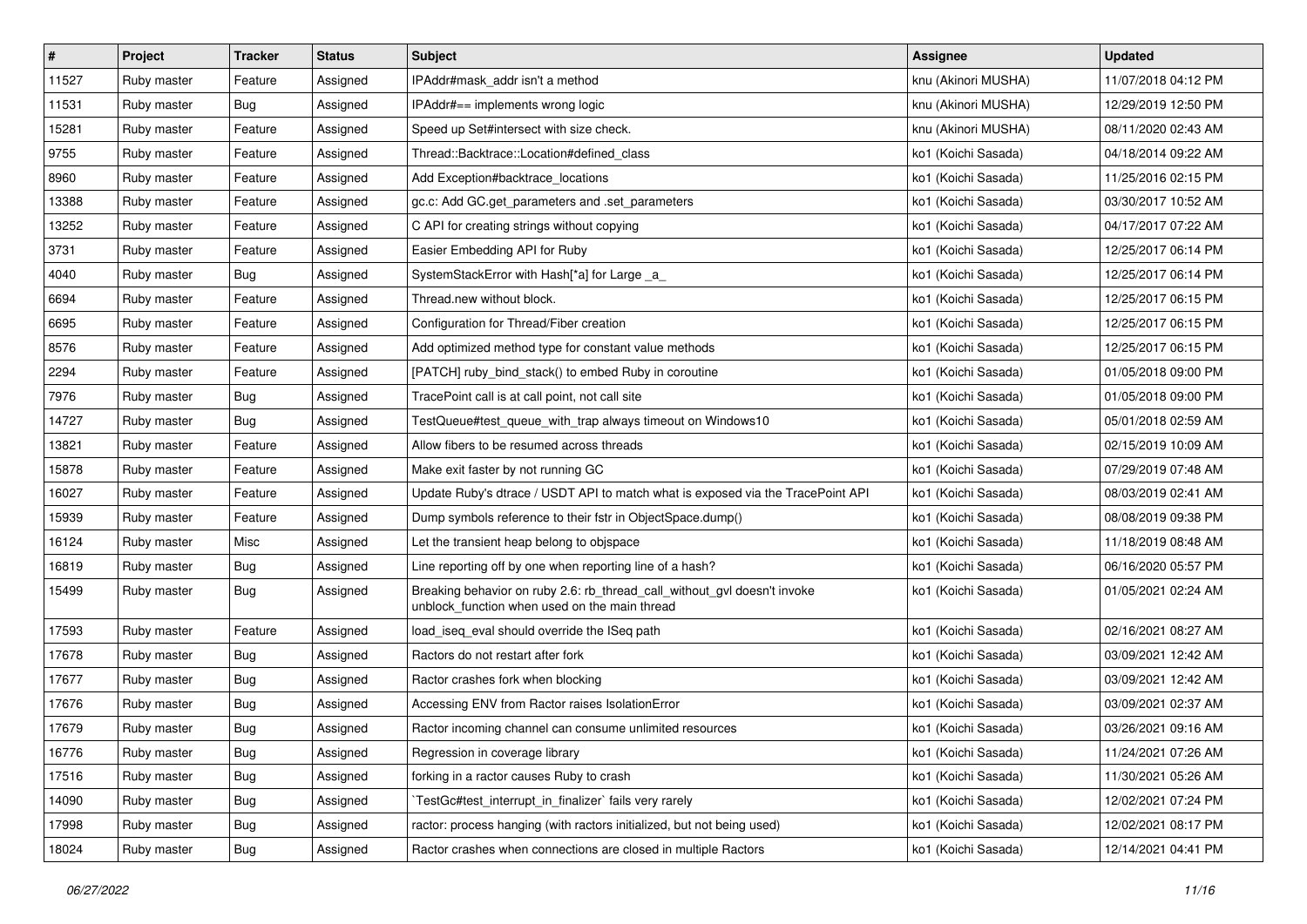| $\vert$ # | Project     | <b>Tracker</b> | <b>Status</b> | <b>Subject</b>                                                                                                            | Assignee            | <b>Updated</b>      |
|-----------|-------------|----------------|---------------|---------------------------------------------------------------------------------------------------------------------------|---------------------|---------------------|
| 11527     | Ruby master | Feature        | Assigned      | IPAddr#mask addr isn't a method                                                                                           | knu (Akinori MUSHA) | 11/07/2018 04:12 PM |
| 11531     | Ruby master | Bug            | Assigned      | IPAddr#== implements wrong logic                                                                                          | knu (Akinori MUSHA) | 12/29/2019 12:50 PM |
| 15281     | Ruby master | Feature        | Assigned      | Speed up Set#intersect with size check.                                                                                   | knu (Akinori MUSHA) | 08/11/2020 02:43 AM |
| 9755      | Ruby master | Feature        | Assigned      | Thread::Backtrace::Location#defined class                                                                                 | ko1 (Koichi Sasada) | 04/18/2014 09:22 AM |
| 8960      | Ruby master | Feature        | Assigned      | Add Exception#backtrace_locations                                                                                         | ko1 (Koichi Sasada) | 11/25/2016 02:15 PM |
| 13388     | Ruby master | Feature        | Assigned      | gc.c: Add GC.get_parameters and .set_parameters                                                                           | ko1 (Koichi Sasada) | 03/30/2017 10:52 AM |
| 13252     | Ruby master | Feature        | Assigned      | C API for creating strings without copying                                                                                | ko1 (Koichi Sasada) | 04/17/2017 07:22 AM |
| 3731      | Ruby master | Feature        | Assigned      | Easier Embedding API for Ruby                                                                                             | ko1 (Koichi Sasada) | 12/25/2017 06:14 PM |
| 4040      | Ruby master | Bug            | Assigned      | SystemStackError with Hash[*a] for Large _a_                                                                              | ko1 (Koichi Sasada) | 12/25/2017 06:14 PM |
| 6694      | Ruby master | Feature        | Assigned      | Thread.new without block.                                                                                                 | ko1 (Koichi Sasada) | 12/25/2017 06:15 PM |
| 6695      | Ruby master | Feature        | Assigned      | Configuration for Thread/Fiber creation                                                                                   | ko1 (Koichi Sasada) | 12/25/2017 06:15 PM |
| 8576      | Ruby master | Feature        | Assigned      | Add optimized method type for constant value methods                                                                      | ko1 (Koichi Sasada) | 12/25/2017 06:15 PM |
| 2294      | Ruby master | Feature        | Assigned      | [PATCH] ruby bind stack() to embed Ruby in coroutine                                                                      | ko1 (Koichi Sasada) | 01/05/2018 09:00 PM |
| 7976      | Ruby master | Bug            | Assigned      | TracePoint call is at call point, not call site                                                                           | ko1 (Koichi Sasada) | 01/05/2018 09:00 PM |
| 14727     | Ruby master | <b>Bug</b>     | Assigned      | TestQueue#test queue with trap always timeout on Windows10                                                                | ko1 (Koichi Sasada) | 05/01/2018 02:59 AM |
| 13821     | Ruby master | Feature        | Assigned      | Allow fibers to be resumed across threads                                                                                 | ko1 (Koichi Sasada) | 02/15/2019 10:09 AM |
| 15878     | Ruby master | Feature        | Assigned      | Make exit faster by not running GC                                                                                        | ko1 (Koichi Sasada) | 07/29/2019 07:48 AM |
| 16027     | Ruby master | Feature        | Assigned      | Update Ruby's dtrace / USDT API to match what is exposed via the TracePoint API                                           | ko1 (Koichi Sasada) | 08/03/2019 02:41 AM |
| 15939     | Ruby master | Feature        | Assigned      | Dump symbols reference to their fstr in ObjectSpace.dump()                                                                | ko1 (Koichi Sasada) | 08/08/2019 09:38 PM |
| 16124     | Ruby master | Misc           | Assigned      | Let the transient heap belong to objspace                                                                                 | ko1 (Koichi Sasada) | 11/18/2019 08:48 AM |
| 16819     | Ruby master | Bug            | Assigned      | Line reporting off by one when reporting line of a hash?                                                                  | ko1 (Koichi Sasada) | 06/16/2020 05:57 PM |
| 15499     | Ruby master | <b>Bug</b>     | Assigned      | Breaking behavior on ruby 2.6: rb_thread_call_without_gvl doesn't invoke<br>unblock_function when used on the main thread | ko1 (Koichi Sasada) | 01/05/2021 02:24 AM |
| 17593     | Ruby master | Feature        | Assigned      | load_iseq_eval should override the ISeq path                                                                              | ko1 (Koichi Sasada) | 02/16/2021 08:27 AM |
| 17678     | Ruby master | Bug            | Assigned      | Ractors do not restart after fork                                                                                         | ko1 (Koichi Sasada) | 03/09/2021 12:42 AM |
| 17677     | Ruby master | <b>Bug</b>     | Assigned      | Ractor crashes fork when blocking                                                                                         | ko1 (Koichi Sasada) | 03/09/2021 12:42 AM |
| 17676     | Ruby master | <b>Bug</b>     | Assigned      | Accessing ENV from Ractor raises IsolationError                                                                           | ko1 (Koichi Sasada) | 03/09/2021 02:37 AM |
| 17679     | Ruby master | <b>Bug</b>     | Assigned      | Ractor incoming channel can consume unlimited resources                                                                   | ko1 (Koichi Sasada) | 03/26/2021 09:16 AM |
| 16776     | Ruby master | <b>Bug</b>     | Assigned      | Regression in coverage library                                                                                            | ko1 (Koichi Sasada) | 11/24/2021 07:26 AM |
| 17516     | Ruby master | <b>Bug</b>     | Assigned      | forking in a ractor causes Ruby to crash                                                                                  | ko1 (Koichi Sasada) | 11/30/2021 05:26 AM |
| 14090     | Ruby master | <b>Bug</b>     | Assigned      | TestGc#test_interrupt_in_finalizer` fails very rarely                                                                     | ko1 (Koichi Sasada) | 12/02/2021 07:24 PM |
| 17998     | Ruby master | <b>Bug</b>     | Assigned      | ractor: process hanging (with ractors initialized, but not being used)                                                    | ko1 (Koichi Sasada) | 12/02/2021 08:17 PM |
| 18024     | Ruby master | <b>Bug</b>     | Assigned      | Ractor crashes when connections are closed in multiple Ractors                                                            | ko1 (Koichi Sasada) | 12/14/2021 04:41 PM |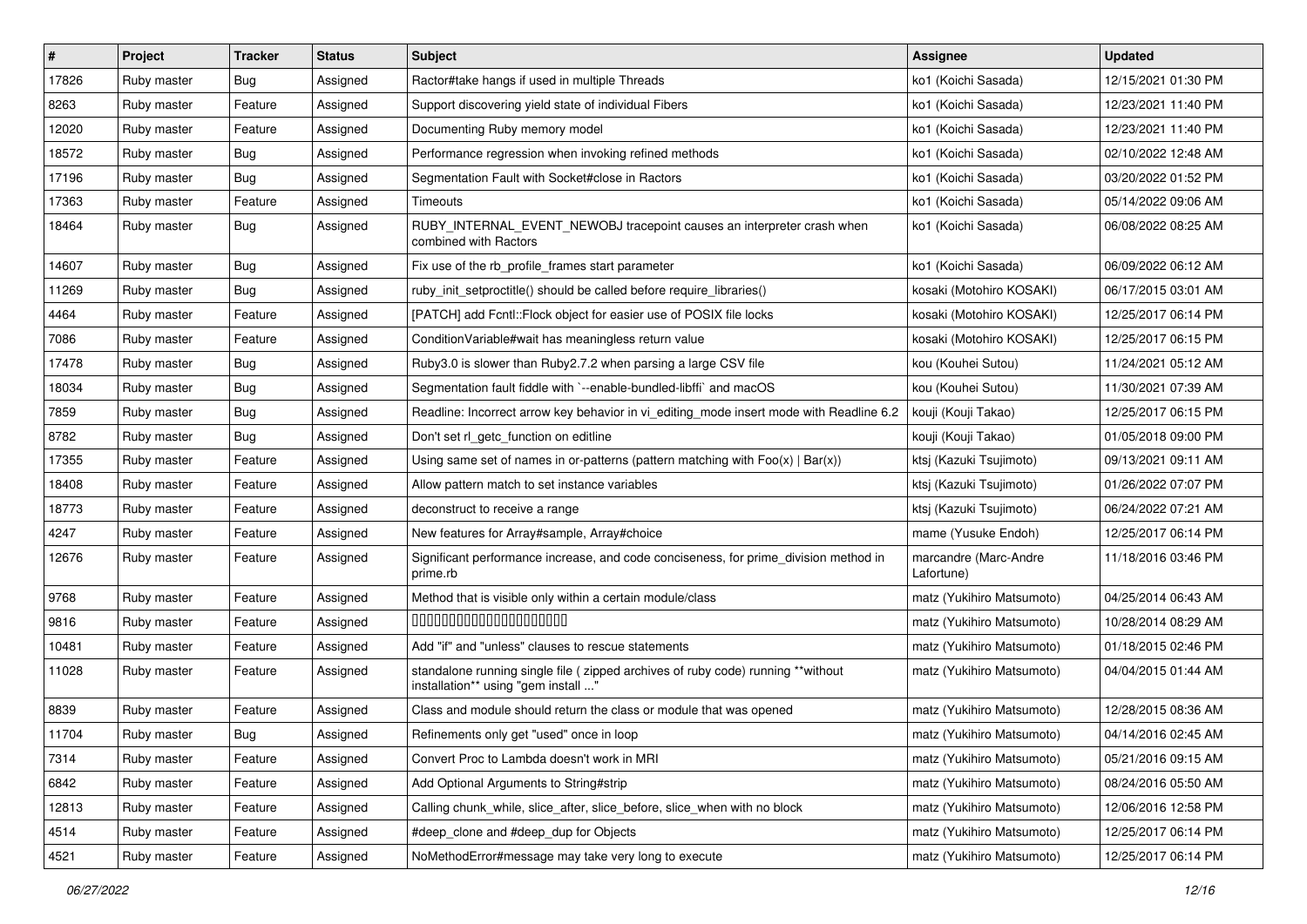| #     | Project     | <b>Tracker</b> | <b>Status</b> | Subject                                                                                                                 | Assignee                            | <b>Updated</b>      |
|-------|-------------|----------------|---------------|-------------------------------------------------------------------------------------------------------------------------|-------------------------------------|---------------------|
| 17826 | Ruby master | Bug            | Assigned      | Ractor#take hangs if used in multiple Threads                                                                           | ko1 (Koichi Sasada)                 | 12/15/2021 01:30 PM |
| 8263  | Ruby master | Feature        | Assigned      | Support discovering yield state of individual Fibers                                                                    | ko1 (Koichi Sasada)                 | 12/23/2021 11:40 PM |
| 12020 | Ruby master | Feature        | Assigned      | Documenting Ruby memory model                                                                                           | ko1 (Koichi Sasada)                 | 12/23/2021 11:40 PM |
| 18572 | Ruby master | Bug            | Assigned      | Performance regression when invoking refined methods                                                                    | ko1 (Koichi Sasada)                 | 02/10/2022 12:48 AM |
| 17196 | Ruby master | Bug            | Assigned      | Segmentation Fault with Socket#close in Ractors                                                                         | ko1 (Koichi Sasada)                 | 03/20/2022 01:52 PM |
| 17363 | Ruby master | Feature        | Assigned      | Timeouts                                                                                                                | ko1 (Koichi Sasada)                 | 05/14/2022 09:06 AM |
| 18464 | Ruby master | Bug            | Assigned      | RUBY_INTERNAL_EVENT_NEWOBJ tracepoint causes an interpreter crash when<br>combined with Ractors                         | ko1 (Koichi Sasada)                 | 06/08/2022 08:25 AM |
| 14607 | Ruby master | <b>Bug</b>     | Assigned      | Fix use of the rb_profile_frames start parameter                                                                        | ko1 (Koichi Sasada)                 | 06/09/2022 06:12 AM |
| 11269 | Ruby master | <b>Bug</b>     | Assigned      | ruby init setproctitle() should be called before require libraries()                                                    | kosaki (Motohiro KOSAKI)            | 06/17/2015 03:01 AM |
| 4464  | Ruby master | Feature        | Assigned      | [PATCH] add Fcntl:: Flock object for easier use of POSIX file locks                                                     | kosaki (Motohiro KOSAKI)            | 12/25/2017 06:14 PM |
| 7086  | Ruby master | Feature        | Assigned      | Condition Variable#wait has meaningless return value                                                                    | kosaki (Motohiro KOSAKI)            | 12/25/2017 06:15 PM |
| 17478 | Ruby master | <b>Bug</b>     | Assigned      | Ruby3.0 is slower than Ruby2.7.2 when parsing a large CSV file                                                          | kou (Kouhei Sutou)                  | 11/24/2021 05:12 AM |
| 18034 | Ruby master | <b>Bug</b>     | Assigned      | Segmentation fault fiddle with `--enable-bundled-libffi` and macOS                                                      | kou (Kouhei Sutou)                  | 11/30/2021 07:39 AM |
| 7859  | Ruby master | <b>Bug</b>     | Assigned      | Readline: Incorrect arrow key behavior in vi_editing_mode insert mode with Readline 6.2                                 | kouji (Kouji Takao)                 | 12/25/2017 06:15 PM |
| 8782  | Ruby master | Bug            | Assigned      | Don't set rl getc function on editline                                                                                  | kouji (Kouji Takao)                 | 01/05/2018 09:00 PM |
| 17355 | Ruby master | Feature        | Assigned      | Using same set of names in or-patterns (pattern matching with $Foo(x)   Bar(x)$ )                                       | ktsj (Kazuki Tsujimoto)             | 09/13/2021 09:11 AM |
| 18408 | Ruby master | Feature        | Assigned      | Allow pattern match to set instance variables                                                                           | ktsj (Kazuki Tsujimoto)             | 01/26/2022 07:07 PM |
| 18773 | Ruby master | Feature        | Assigned      | deconstruct to receive a range                                                                                          | ktsj (Kazuki Tsujimoto)             | 06/24/2022 07:21 AM |
| 4247  | Ruby master | Feature        | Assigned      | New features for Array#sample, Array#choice                                                                             | mame (Yusuke Endoh)                 | 12/25/2017 06:14 PM |
| 12676 | Ruby master | Feature        | Assigned      | Significant performance increase, and code conciseness, for prime_division method in<br>prime.rb                        | marcandre (Marc-Andre<br>Lafortune) | 11/18/2016 03:46 PM |
| 9768  | Ruby master | Feature        | Assigned      | Method that is visible only within a certain module/class                                                               | matz (Yukihiro Matsumoto)           | 04/25/2014 06:43 AM |
| 9816  | Ruby master | Feature        | Assigned      | 00000000000000000000                                                                                                    | matz (Yukihiro Matsumoto)           | 10/28/2014 08:29 AM |
| 10481 | Ruby master | Feature        | Assigned      | Add "if" and "unless" clauses to rescue statements                                                                      | matz (Yukihiro Matsumoto)           | 01/18/2015 02:46 PM |
| 11028 | Ruby master | Feature        | Assigned      | standalone running single file ( zipped archives of ruby code) running **without<br>installation** using "gem install " | matz (Yukihiro Matsumoto)           | 04/04/2015 01:44 AM |
| 8839  | Ruby master | Feature        | Assigned      | Class and module should return the class or module that was opened                                                      | matz (Yukihiro Matsumoto)           | 12/28/2015 08:36 AM |
| 11704 | Ruby master | Bug            | Assigned      | Refinements only get "used" once in loop                                                                                | matz (Yukihiro Matsumoto)           | 04/14/2016 02:45 AM |
| 7314  | Ruby master | Feature        | Assigned      | Convert Proc to Lambda doesn't work in MRI                                                                              | matz (Yukihiro Matsumoto)           | 05/21/2016 09:15 AM |
| 6842  | Ruby master | Feature        | Assigned      | Add Optional Arguments to String#strip                                                                                  | matz (Yukihiro Matsumoto)           | 08/24/2016 05:50 AM |
| 12813 | Ruby master | Feature        | Assigned      | Calling chunk_while, slice_after, slice_before, slice_when with no block                                                | matz (Yukihiro Matsumoto)           | 12/06/2016 12:58 PM |
| 4514  | Ruby master | Feature        | Assigned      | #deep_clone and #deep_dup for Objects                                                                                   | matz (Yukihiro Matsumoto)           | 12/25/2017 06:14 PM |
| 4521  | Ruby master | Feature        | Assigned      | NoMethodError#message may take very long to execute                                                                     | matz (Yukihiro Matsumoto)           | 12/25/2017 06:14 PM |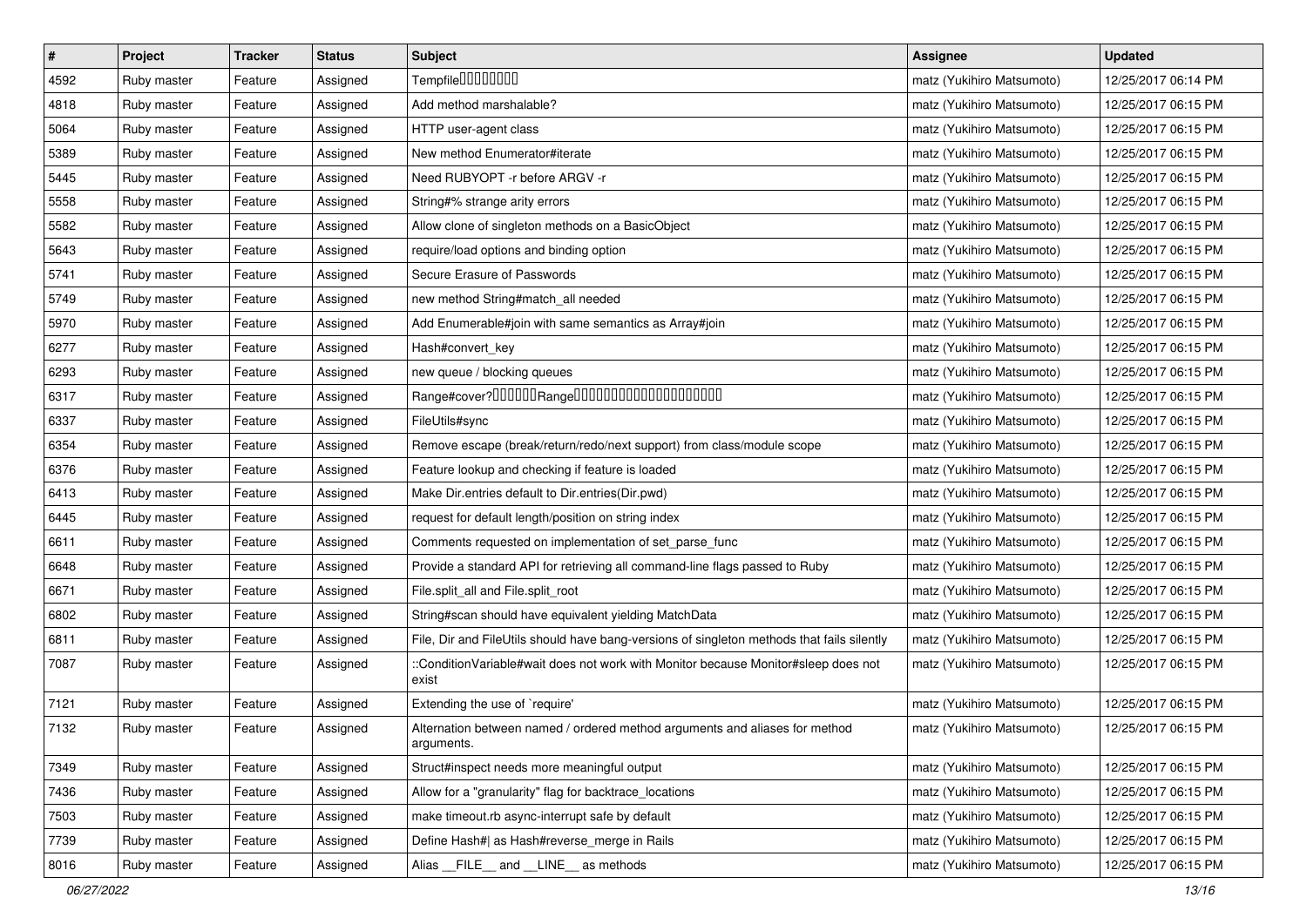| $\vert$ # | Project     | <b>Tracker</b> | <b>Status</b> | <b>Subject</b>                                                                              | <b>Assignee</b>           | <b>Updated</b>      |
|-----------|-------------|----------------|---------------|---------------------------------------------------------------------------------------------|---------------------------|---------------------|
| 4592      | Ruby master | Feature        | Assigned      | Tempfile0000000                                                                             | matz (Yukihiro Matsumoto) | 12/25/2017 06:14 PM |
| 4818      | Ruby master | Feature        | Assigned      | Add method marshalable?                                                                     | matz (Yukihiro Matsumoto) | 12/25/2017 06:15 PM |
| 5064      | Ruby master | Feature        | Assigned      | HTTP user-agent class                                                                       | matz (Yukihiro Matsumoto) | 12/25/2017 06:15 PM |
| 5389      | Ruby master | Feature        | Assigned      | New method Enumerator#iterate                                                               | matz (Yukihiro Matsumoto) | 12/25/2017 06:15 PM |
| 5445      | Ruby master | Feature        | Assigned      | Need RUBYOPT - r before ARGV - r                                                            | matz (Yukihiro Matsumoto) | 12/25/2017 06:15 PM |
| 5558      | Ruby master | Feature        | Assigned      | String#% strange arity errors                                                               | matz (Yukihiro Matsumoto) | 12/25/2017 06:15 PM |
| 5582      | Ruby master | Feature        | Assigned      | Allow clone of singleton methods on a BasicObject                                           | matz (Yukihiro Matsumoto) | 12/25/2017 06:15 PM |
| 5643      | Ruby master | Feature        | Assigned      | require/load options and binding option                                                     | matz (Yukihiro Matsumoto) | 12/25/2017 06:15 PM |
| 5741      | Ruby master | Feature        | Assigned      | Secure Erasure of Passwords                                                                 | matz (Yukihiro Matsumoto) | 12/25/2017 06:15 PM |
| 5749      | Ruby master | Feature        | Assigned      | new method String#match_all needed                                                          | matz (Yukihiro Matsumoto) | 12/25/2017 06:15 PM |
| 5970      | Ruby master | Feature        | Assigned      | Add Enumerable#join with same semantics as Array#join                                       | matz (Yukihiro Matsumoto) | 12/25/2017 06:15 PM |
| 6277      | Ruby master | Feature        | Assigned      | Hash#convert_key                                                                            | matz (Yukihiro Matsumoto) | 12/25/2017 06:15 PM |
| 6293      | Ruby master | Feature        | Assigned      | new queue / blocking queues                                                                 | matz (Yukihiro Matsumoto) | 12/25/2017 06:15 PM |
| 6317      | Ruby master | Feature        | Assigned      |                                                                                             | matz (Yukihiro Matsumoto) | 12/25/2017 06:15 PM |
| 6337      | Ruby master | Feature        | Assigned      | FileUtils#sync                                                                              | matz (Yukihiro Matsumoto) | 12/25/2017 06:15 PM |
| 6354      | Ruby master | Feature        | Assigned      | Remove escape (break/return/redo/next support) from class/module scope                      | matz (Yukihiro Matsumoto) | 12/25/2017 06:15 PM |
| 6376      | Ruby master | Feature        | Assigned      | Feature lookup and checking if feature is loaded                                            | matz (Yukihiro Matsumoto) | 12/25/2017 06:15 PM |
| 6413      | Ruby master | Feature        | Assigned      | Make Dir.entries default to Dir.entries(Dir.pwd)                                            | matz (Yukihiro Matsumoto) | 12/25/2017 06:15 PM |
| 6445      | Ruby master | Feature        | Assigned      | request for default length/position on string index                                         | matz (Yukihiro Matsumoto) | 12/25/2017 06:15 PM |
| 6611      | Ruby master | Feature        | Assigned      | Comments requested on implementation of set_parse_func                                      | matz (Yukihiro Matsumoto) | 12/25/2017 06:15 PM |
| 6648      | Ruby master | Feature        | Assigned      | Provide a standard API for retrieving all command-line flags passed to Ruby                 | matz (Yukihiro Matsumoto) | 12/25/2017 06:15 PM |
| 6671      | Ruby master | Feature        | Assigned      | File.split_all and File.split_root                                                          | matz (Yukihiro Matsumoto) | 12/25/2017 06:15 PM |
| 6802      | Ruby master | Feature        | Assigned      | String#scan should have equivalent yielding MatchData                                       | matz (Yukihiro Matsumoto) | 12/25/2017 06:15 PM |
| 6811      | Ruby master | Feature        | Assigned      | File, Dir and FileUtils should have bang-versions of singleton methods that fails silently  | matz (Yukihiro Matsumoto) | 12/25/2017 06:15 PM |
| 7087      | Ruby master | Feature        | Assigned      | ::ConditionVariable#wait does not work with Monitor because Monitor#sleep does not<br>exist | matz (Yukihiro Matsumoto) | 12/25/2017 06:15 PM |
| 7121      | Ruby master | Feature        | Assigned      | Extending the use of `require'                                                              | matz (Yukihiro Matsumoto) | 12/25/2017 06:15 PM |
| 7132      | Ruby master | Feature        | Assigned      | Alternation between named / ordered method arguments and aliases for method<br>arguments.   | matz (Yukihiro Matsumoto) | 12/25/2017 06:15 PM |
| 7349      | Ruby master | Feature        | Assigned      | Struct#inspect needs more meaningful output                                                 | matz (Yukihiro Matsumoto) | 12/25/2017 06:15 PM |
| 7436      | Ruby master | Feature        | Assigned      | Allow for a "granularity" flag for backtrace_locations                                      | matz (Yukihiro Matsumoto) | 12/25/2017 06:15 PM |
| 7503      | Ruby master | Feature        | Assigned      | make timeout.rb async-interrupt safe by default                                             | matz (Yukihiro Matsumoto) | 12/25/2017 06:15 PM |
| 7739      | Ruby master | Feature        | Assigned      | Define Hash#  as Hash#reverse_merge in Rails                                                | matz (Yukihiro Matsumoto) | 12/25/2017 06:15 PM |
| 8016      | Ruby master | Feature        | Assigned      | Alias __FILE__ and __LINE__ as methods                                                      | matz (Yukihiro Matsumoto) | 12/25/2017 06:15 PM |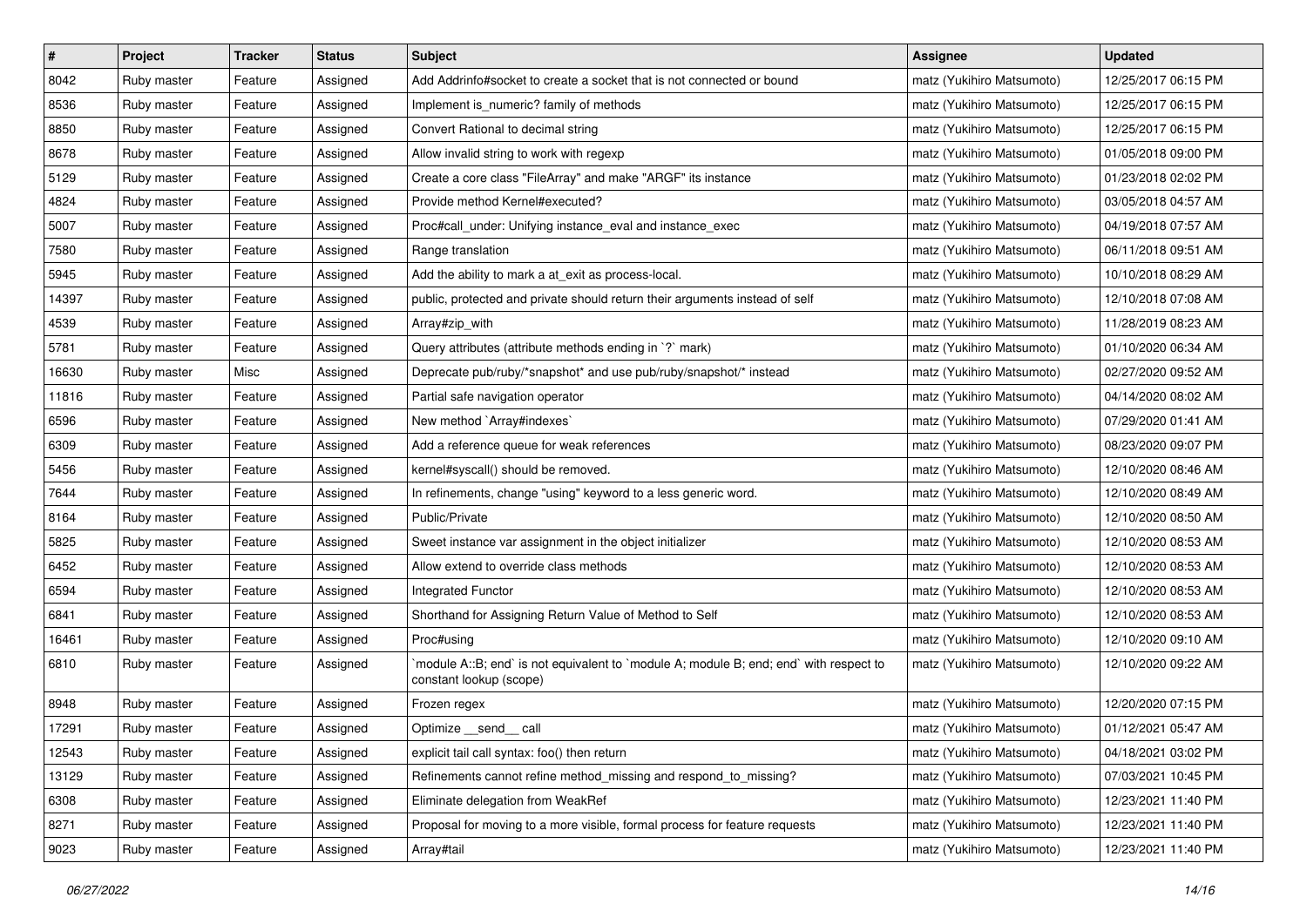| $\vert$ # | Project     | <b>Tracker</b> | <b>Status</b> | <b>Subject</b>                                                                                                    | <b>Assignee</b>           | <b>Updated</b>      |
|-----------|-------------|----------------|---------------|-------------------------------------------------------------------------------------------------------------------|---------------------------|---------------------|
| 8042      | Ruby master | Feature        | Assigned      | Add Addrinfo#socket to create a socket that is not connected or bound                                             | matz (Yukihiro Matsumoto) | 12/25/2017 06:15 PM |
| 8536      | Ruby master | Feature        | Assigned      | Implement is_numeric? family of methods                                                                           | matz (Yukihiro Matsumoto) | 12/25/2017 06:15 PM |
| 8850      | Ruby master | Feature        | Assigned      | Convert Rational to decimal string                                                                                | matz (Yukihiro Matsumoto) | 12/25/2017 06:15 PM |
| 8678      | Ruby master | Feature        | Assigned      | Allow invalid string to work with regexp                                                                          | matz (Yukihiro Matsumoto) | 01/05/2018 09:00 PM |
| 5129      | Ruby master | Feature        | Assigned      | Create a core class "FileArray" and make "ARGF" its instance                                                      | matz (Yukihiro Matsumoto) | 01/23/2018 02:02 PM |
| 4824      | Ruby master | Feature        | Assigned      | Provide method Kernel#executed?                                                                                   | matz (Yukihiro Matsumoto) | 03/05/2018 04:57 AM |
| 5007      | Ruby master | Feature        | Assigned      | Proc#call_under: Unifying instance_eval and instance_exec                                                         | matz (Yukihiro Matsumoto) | 04/19/2018 07:57 AM |
| 7580      | Ruby master | Feature        | Assigned      | Range translation                                                                                                 | matz (Yukihiro Matsumoto) | 06/11/2018 09:51 AM |
| 5945      | Ruby master | Feature        | Assigned      | Add the ability to mark a at_exit as process-local.                                                               | matz (Yukihiro Matsumoto) | 10/10/2018 08:29 AM |
| 14397     | Ruby master | Feature        | Assigned      | public, protected and private should return their arguments instead of self                                       | matz (Yukihiro Matsumoto) | 12/10/2018 07:08 AM |
| 4539      | Ruby master | Feature        | Assigned      | Array#zip_with                                                                                                    | matz (Yukihiro Matsumoto) | 11/28/2019 08:23 AM |
| 5781      | Ruby master | Feature        | Assigned      | Query attributes (attribute methods ending in `?` mark)                                                           | matz (Yukihiro Matsumoto) | 01/10/2020 06:34 AM |
| 16630     | Ruby master | Misc           | Assigned      | Deprecate pub/ruby/*snapshot* and use pub/ruby/snapshot/* instead                                                 | matz (Yukihiro Matsumoto) | 02/27/2020 09:52 AM |
| 11816     | Ruby master | Feature        | Assigned      | Partial safe navigation operator                                                                                  | matz (Yukihiro Matsumoto) | 04/14/2020 08:02 AM |
| 6596      | Ruby master | Feature        | Assigned      | New method `Array#indexes`                                                                                        | matz (Yukihiro Matsumoto) | 07/29/2020 01:41 AM |
| 6309      | Ruby master | Feature        | Assigned      | Add a reference queue for weak references                                                                         | matz (Yukihiro Matsumoto) | 08/23/2020 09:07 PM |
| 5456      | Ruby master | Feature        | Assigned      | kernel#syscall() should be removed.                                                                               | matz (Yukihiro Matsumoto) | 12/10/2020 08:46 AM |
| 7644      | Ruby master | Feature        | Assigned      | In refinements, change "using" keyword to a less generic word.                                                    | matz (Yukihiro Matsumoto) | 12/10/2020 08:49 AM |
| 8164      | Ruby master | Feature        | Assigned      | Public/Private                                                                                                    | matz (Yukihiro Matsumoto) | 12/10/2020 08:50 AM |
| 5825      | Ruby master | Feature        | Assigned      | Sweet instance var assignment in the object initializer                                                           | matz (Yukihiro Matsumoto) | 12/10/2020 08:53 AM |
| 6452      | Ruby master | Feature        | Assigned      | Allow extend to override class methods                                                                            | matz (Yukihiro Matsumoto) | 12/10/2020 08:53 AM |
| 6594      | Ruby master | Feature        | Assigned      | Integrated Functor                                                                                                | matz (Yukihiro Matsumoto) | 12/10/2020 08:53 AM |
| 6841      | Ruby master | Feature        | Assigned      | Shorthand for Assigning Return Value of Method to Self                                                            | matz (Yukihiro Matsumoto) | 12/10/2020 08:53 AM |
| 16461     | Ruby master | Feature        | Assigned      | Proc#using                                                                                                        | matz (Yukihiro Matsumoto) | 12/10/2020 09:10 AM |
| 6810      | Ruby master | Feature        | Assigned      | 'module A::B; end' is not equivalent to 'module A; module B; end; end' with respect to<br>constant lookup (scope) | matz (Yukihiro Matsumoto) | 12/10/2020 09:22 AM |
| 8948      | Ruby master | Feature        | Assigned      | Frozen regex                                                                                                      | matz (Yukihiro Matsumoto) | 12/20/2020 07:15 PM |
| 17291     | Ruby master | Feature        | Assigned      | Optimize __send__ call                                                                                            | matz (Yukihiro Matsumoto) | 01/12/2021 05:47 AM |
| 12543     | Ruby master | Feature        | Assigned      | explicit tail call syntax: foo() then return                                                                      | matz (Yukihiro Matsumoto) | 04/18/2021 03:02 PM |
| 13129     | Ruby master | Feature        | Assigned      | Refinements cannot refine method_missing and respond_to_missing?                                                  | matz (Yukihiro Matsumoto) | 07/03/2021 10:45 PM |
| 6308      | Ruby master | Feature        | Assigned      | Eliminate delegation from WeakRef                                                                                 | matz (Yukihiro Matsumoto) | 12/23/2021 11:40 PM |
| 8271      | Ruby master | Feature        | Assigned      | Proposal for moving to a more visible, formal process for feature requests                                        | matz (Yukihiro Matsumoto) | 12/23/2021 11:40 PM |
| 9023      | Ruby master | Feature        | Assigned      | Array#tail                                                                                                        | matz (Yukihiro Matsumoto) | 12/23/2021 11:40 PM |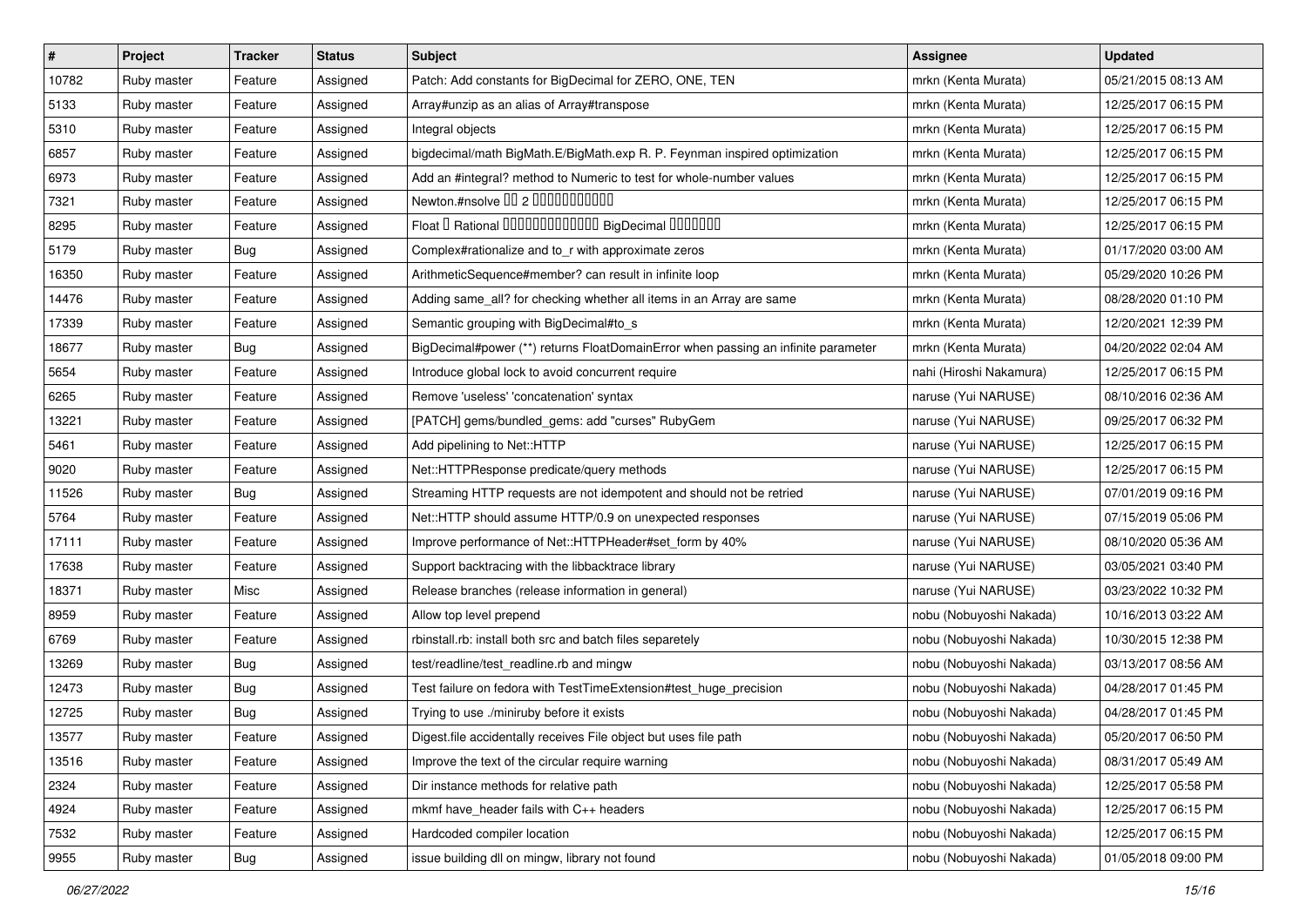| $\sharp$ | Project     | <b>Tracker</b> | <b>Status</b> | <b>Subject</b>                                                                    | Assignee                | <b>Updated</b>      |
|----------|-------------|----------------|---------------|-----------------------------------------------------------------------------------|-------------------------|---------------------|
| 10782    | Ruby master | Feature        | Assigned      | Patch: Add constants for BigDecimal for ZERO, ONE, TEN                            | mrkn (Kenta Murata)     | 05/21/2015 08:13 AM |
| 5133     | Ruby master | Feature        | Assigned      | Array#unzip as an alias of Array#transpose                                        | mrkn (Kenta Murata)     | 12/25/2017 06:15 PM |
| 5310     | Ruby master | Feature        | Assigned      | Integral objects                                                                  | mrkn (Kenta Murata)     | 12/25/2017 06:15 PM |
| 6857     | Ruby master | Feature        | Assigned      | bigdecimal/math BigMath.E/BigMath.exp R. P. Feynman inspired optimization         | mrkn (Kenta Murata)     | 12/25/2017 06:15 PM |
| 6973     | Ruby master | Feature        | Assigned      | Add an #integral? method to Numeric to test for whole-number values               | mrkn (Kenta Murata)     | 12/25/2017 06:15 PM |
| 7321     | Ruby master | Feature        | Assigned      | Newton.#nsolve 00 2 00000000000                                                   | mrkn (Kenta Murata)     | 12/25/2017 06:15 PM |
| 8295     | Ruby master | Feature        | Assigned      | Float I Rational IIIIIIIIIIIIIIIIIII BigDecimal IIIIIIIII                         | mrkn (Kenta Murata)     | 12/25/2017 06:15 PM |
| 5179     | Ruby master | Bug            | Assigned      | Complex#rationalize and to_r with approximate zeros                               | mrkn (Kenta Murata)     | 01/17/2020 03:00 AM |
| 16350    | Ruby master | Feature        | Assigned      | ArithmeticSequence#member? can result in infinite loop                            | mrkn (Kenta Murata)     | 05/29/2020 10:26 PM |
| 14476    | Ruby master | Feature        | Assigned      | Adding same_all? for checking whether all items in an Array are same              | mrkn (Kenta Murata)     | 08/28/2020 01:10 PM |
| 17339    | Ruby master | Feature        | Assigned      | Semantic grouping with BigDecimal#to_s                                            | mrkn (Kenta Murata)     | 12/20/2021 12:39 PM |
| 18677    | Ruby master | <b>Bug</b>     | Assigned      | BigDecimal#power (**) returns FloatDomainError when passing an infinite parameter | mrkn (Kenta Murata)     | 04/20/2022 02:04 AM |
| 5654     | Ruby master | Feature        | Assigned      | Introduce global lock to avoid concurrent require                                 | nahi (Hiroshi Nakamura) | 12/25/2017 06:15 PM |
| 6265     | Ruby master | Feature        | Assigned      | Remove 'useless' 'concatenation' syntax                                           | naruse (Yui NARUSE)     | 08/10/2016 02:36 AM |
| 13221    | Ruby master | Feature        | Assigned      | [PATCH] gems/bundled_gems: add "curses" RubyGem                                   | naruse (Yui NARUSE)     | 09/25/2017 06:32 PM |
| 5461     | Ruby master | Feature        | Assigned      | Add pipelining to Net::HTTP                                                       | naruse (Yui NARUSE)     | 12/25/2017 06:15 PM |
| 9020     | Ruby master | Feature        | Assigned      | Net::HTTPResponse predicate/query methods                                         | naruse (Yui NARUSE)     | 12/25/2017 06:15 PM |
| 11526    | Ruby master | <b>Bug</b>     | Assigned      | Streaming HTTP requests are not idempotent and should not be retried              | naruse (Yui NARUSE)     | 07/01/2019 09:16 PM |
| 5764     | Ruby master | Feature        | Assigned      | Net::HTTP should assume HTTP/0.9 on unexpected responses                          | naruse (Yui NARUSE)     | 07/15/2019 05:06 PM |
| 17111    | Ruby master | Feature        | Assigned      | Improve performance of Net::HTTPHeader#set_form by 40%                            | naruse (Yui NARUSE)     | 08/10/2020 05:36 AM |
| 17638    | Ruby master | Feature        | Assigned      | Support backtracing with the libbacktrace library                                 | naruse (Yui NARUSE)     | 03/05/2021 03:40 PM |
| 18371    | Ruby master | Misc           | Assigned      | Release branches (release information in general)                                 | naruse (Yui NARUSE)     | 03/23/2022 10:32 PM |
| 8959     | Ruby master | Feature        | Assigned      | Allow top level prepend                                                           | nobu (Nobuyoshi Nakada) | 10/16/2013 03:22 AM |
| 6769     | Ruby master | Feature        | Assigned      | rbinstall.rb: install both src and batch files separetely                         | nobu (Nobuyoshi Nakada) | 10/30/2015 12:38 PM |
| 13269    | Ruby master | Bug            | Assigned      | test/readline/test_readline.rb and mingw                                          | nobu (Nobuyoshi Nakada) | 03/13/2017 08:56 AM |
| 12473    | Ruby master | Bug            | Assigned      | Test failure on fedora with TestTimeExtension#test_huge_precision                 | nobu (Nobuyoshi Nakada) | 04/28/2017 01:45 PM |
| 12725    | Ruby master | <b>Bug</b>     | Assigned      | Trying to use ./miniruby before it exists                                         | nobu (Nobuyoshi Nakada) | 04/28/2017 01:45 PM |
| 13577    | Ruby master | Feature        | Assigned      | Digest file accidentally receives File object but uses file path                  | nobu (Nobuyoshi Nakada) | 05/20/2017 06:50 PM |
| 13516    | Ruby master | Feature        | Assigned      | Improve the text of the circular require warning                                  | nobu (Nobuyoshi Nakada) | 08/31/2017 05:49 AM |
| 2324     | Ruby master | Feature        | Assigned      | Dir instance methods for relative path                                            | nobu (Nobuyoshi Nakada) | 12/25/2017 05:58 PM |
| 4924     | Ruby master | Feature        | Assigned      | mkmf have_header fails with C++ headers                                           | nobu (Nobuyoshi Nakada) | 12/25/2017 06:15 PM |
| 7532     | Ruby master | Feature        | Assigned      | Hardcoded compiler location                                                       | nobu (Nobuyoshi Nakada) | 12/25/2017 06:15 PM |
| 9955     | Ruby master | Bug            | Assigned      | issue building dll on mingw, library not found                                    | nobu (Nobuyoshi Nakada) | 01/05/2018 09:00 PM |